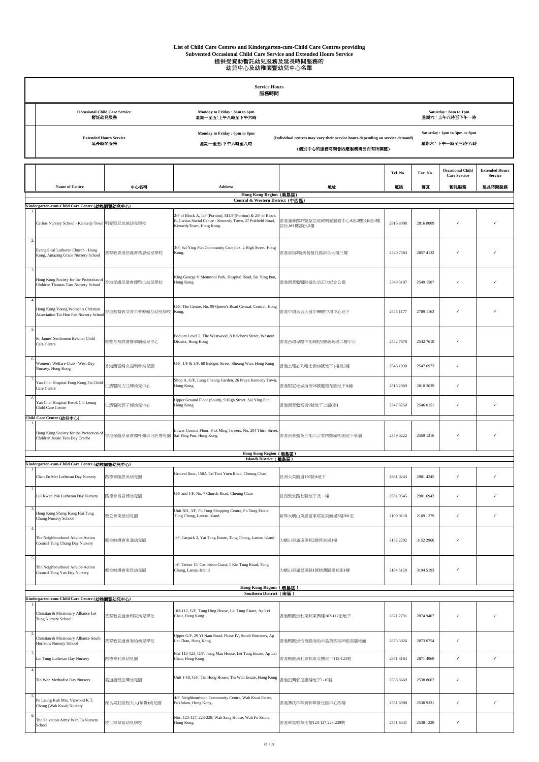## List of Child Care Centres and Kindergarten-cum-Child Care Centres providing<br>Subvented Occasional Child Care Service and Extended Hours Service<br>提供受資助暫法幼兒服務及延長時間服務的<br>*幼*兒中心及幼稚園暨幼兒中心名單

| <b>Service Hours</b><br>服務時間 |                                                |                                                 |                                                                                                          |                                                 |  |  |  |
|------------------------------|------------------------------------------------|-------------------------------------------------|----------------------------------------------------------------------------------------------------------|-------------------------------------------------|--|--|--|
|                              | <b>Occasional Child Care Service</b><br>暫託幼兒服務 | Monday to Friday: 8am to 6pm<br>星期一至五:上午八時至下午六時 |                                                                                                          | Saturday: 8am to 1pm<br>星期六:上午八時至下午一時           |  |  |  |
|                              | <b>Extended Hours Service</b><br>延長時間服務        | Monday to Friday: 6pm to 8pm<br>星期一至五:下午六時至八時   | (Individual centres may vary their service hours depending on service demand)<br>(個別中心的服務時間會因應服務需要而有所調整) | Saturday: 1pm to 3pm or 8pm<br>星期六 : 下午一時至三時/八時 |  |  |  |

|                |                                                                                                   |                        |                                                                                                                                                       |                                            | Tel. No.  | Fax. No.  | <b>Occasional Child</b><br><b>Care Service</b> | <b>Extended Hours</b><br><b>Service</b> |
|----------------|---------------------------------------------------------------------------------------------------|------------------------|-------------------------------------------------------------------------------------------------------------------------------------------------------|--------------------------------------------|-----------|-----------|------------------------------------------------|-----------------------------------------|
|                | Name of Centre                                                                                    | 中心名稱                   | <b>Address</b>                                                                                                                                        | 地址                                         | 電話        | 傳真        | 暫託服務                                           | 延長時間服務                                  |
|                |                                                                                                   |                        | Hong Kong Region (港島區)<br>Central & Western District (中西區)                                                                                            |                                            |           |           |                                                |                                         |
|                | Kindergarten-cum-Child Care Centre (幼稚園暨幼兒中心)<br>Caritas Nursery School - Kennedy Town 明愛堅尼地城幼兒學校 |                        | 2/F of Block A, 1/F (Portion), M1/F (Portion) & 2/F of Block<br>B, Caritas Social Centre - Kennedy Town, 27 Pokfield Road,<br>KennedyTown, Hong Kong. | 香港蒲菲路27號堅尼地城明愛服務中心A座2樓及B座1樓<br>部份,M1樓部份,2樓 | 2816 8008 | 2816 8009 |                                                |                                         |
| 2.             | Evangelical Lutheran Church - Hong<br>Kong, Amazing Grace Nursery School                          | 基督教香港信義會基恩幼兒學校         | 3/F, Sai Ying Pun Community Complex, 2 High Street, Hong<br>Kong.                                                                                     | 香港高街2號西營盤社區綜合大樓三樓                          | 2540 7583 | 2857 4132 |                                                |                                         |
| 3.             | Hong Kong Society for the Protection of<br>Children Thomas Tam Nursery School                     | 香港保護兒童會譚雅士幼兒學校         | King George V Memorial Park, Hospital Road, Sai Ying Pun,<br>Hong Kong.                                                                               | 香港西營盤醫院道佐治五世紀念公園                           | 2549 5107 | 2549 1507 | $\checkmark$                                   |                                         |
| 4.             | Hong Kong Young Women's Christian<br>Association Tai Hon Fan Nursery School                       | 香港基督教女青年會戴翰芬幼兒學校 Kong. | G/F, The Centre, No. 99 Queen's Road Central, Central, Hong                                                                                           | 香港中環皇后大道中99號中環中心地下                         | 2545 1177 | 2789 1163 |                                                |                                         |
| -5.            | St. James' Settlement Belcher Child<br>Care Centre                                                | 聖雅各福群會寶翠園幼兒中心          | Podium Level 2, The Westwood, 8 Belcher's Street, Western<br>District, Hong Kong                                                                      | 香港西環卑路乍街8號西寶城商場二樓平台                        | 2542 7678 | 2542 7618 |                                                |                                         |
| 6.             | Women's Welfare Club - West Day<br>Nursery, Hong Kong                                             | 香港西區婦女福利會幼兒園           | G/F, 1/F & 3/F, 60 Bridges Street, Sheung Wan, Hong Kong                                                                                              | 香港上環必列啫士街60號地下1樓及3樓                        | 2546 1030 | 2547 6973 | $\checkmark$                                   |                                         |
|                | Yan Chai Hospital Fong Kong Fai Child<br>Care Centre                                              | 仁濟醫院方江輝幼兒中心            | Shop A, G/F, Lung Cheung Garden, 26 Praya Kennedy Town,<br>Hong Kong                                                                                  | 香港堅尼地城海旁26號龍翔花園地下A鋪                        | 2818 2069 | 2818 2639 | ✓                                              |                                         |
|                | Yan Chai Hospital Kwok Chi Leung<br>Child Care Centre                                             | 仁濟醫院郭子樑幼兒中心            | Jpper Ground Floor (South), 9 High Street, Sai Ying Pun,<br>Hong Kong                                                                                 | 香港西營盤高街9號地下上層(南)                           | 2547 8250 | 2546 0151 | $\checkmark$                                   | ✓                                       |
|                | Child Care Centre (幼兒中心)                                                                          |                        |                                                                                                                                                       |                                            |           |           |                                                |                                         |
|                | Hong Kong Society for the Protection of<br>Children Jessie Tam Day Creche                         | 香港保護兒童會譚杜佩珍日託嬰兒園       | Lower Ground Floor, Yuk Ming Towers, No. 204 Third Street,<br>Sai Ying Pun, Hong Kong                                                                 | 香港西營盤第三街二百零四號毓明閣地下低層                       | 2559 0222 | 2559 1216 | $\checkmark$                                   |                                         |
|                |                                                                                                   |                        | Hong Kong Region (港島區)<br>Islands District (義島區)                                                                                                      |                                            |           |           |                                                |                                         |
|                | Kindergarten-cum-Child Care Centre (幼稚園暨幼兒中心)                                                     |                        |                                                                                                                                                       |                                            |           |           |                                                |                                         |
| 2.             | Chan En Mei Lutheran Day Nursery                                                                  | 路德會陳恩美幼兒園              | Ground floor, 150A Tai Tsoi Yuen Road, Cheung Chau                                                                                                    | 長洲大菜園道150號A地下                              | 2981 0243 | 2981 4245 | $\checkmark$                                   | ✓                                       |
|                | Lui Kwan Pok Lutheran Day Nursery                                                                 | 路德會呂君博幼兒園              | G/F and 1/F, No. 7 Church Road, Cheung Chau                                                                                                           | 長洲教堂路七號地下及一樓                               | 2981 0545 | 2981 6943 |                                                |                                         |
| $\overline{4}$ | Hong Kong Sheng Kung Hui Tung<br>Chung Nursery School                                             | 聖公會東涌幼兒園               | Unit 301, 3/F, Fu Tung Shopping Centre, Fu Tung Estate,<br>Tung Chung, Lantau Island                                                                  | 新界大嶼山東涌富東邨富東商場3樓301室                       | 2109 0118 | 2109 1279 | $\checkmark$                                   | ✓                                       |
|                | The Neighbourhood Advice-Action<br>Council Tung Chung Day Nursery                                 | 鄰舍輔導會東涌幼兒園             | 1/F, Carpark 2, Yat Tung Estate, Tung Chung, Lantau Island                                                                                            | 大嶼山東涌逸東邨2號停車場1樓                            | 3152 2202 | 3152 2960 | $\checkmark$                                   |                                         |
| 5.             | The Neighbourhood Advice-Action<br>Council Tung Yan Day Nursery                                   | 鄰舍輔導會東欣幼兒園             | 1/F, Tower 15, Caribbean Coast, 1 Kin Tung Road, Tung<br>Chung, Lantau Island                                                                         | 大嶼山東涌健東路1號映灣園第15座1樓                        | 3194 5120 | 3194 5193 |                                                |                                         |
|                |                                                                                                   |                        | Hong Kong Region (港島區)<br>Southern District (南區)                                                                                                      |                                            |           |           |                                                |                                         |
|                | Kindergarten-cum-Child Care Centre (幼稚園暨幼兒中心)                                                     |                        |                                                                                                                                                       |                                            |           |           |                                                |                                         |
|                | Christian & Missionary Alliance Lei<br>Tung Nursery School                                        | 基督教宣道會利東幼兒學校           | 102-112, G/F, Tung Hing House, Lei Tung Estate, Ap Lei<br>Chau, Hong Kong.                                                                            | 香港鴨脷洲利東邨東興樓102-112室地下                      | 2871 2791 | 2874 9407 | $\checkmark$                                   |                                         |
| 2.             | Christian & Missionary Alliance South<br>Horizons Nursery School                                  | 基督教宣道會海怡幼兒學校           | Jpper G/F, 29 Yi Nam Road, Phase IV, South Horizons, Ap<br>Lei Chau, Hong Kong.                                                                       | 香港鴨脷洲怡南路海怡半島第四期29座高層地面                     | 2873 3026 | 2873 0754 | $\checkmark$                                   |                                         |
| $\mathbf{3}$   | Lei Tung Lutheran Day Nursery                                                                     | 路德會利東幼兒園               | Flat 113-123, G/F, Tung Mau House, Lei Tung Estate, Ap Lei<br>Chau, Hong Kong                                                                         | 香港鴨脷洲利東邨東茂樓地下113-123號                      | 2871 3164 | 2871 4969 | $\checkmark$                                   | ✓                                       |
| 4.             | Tin Wan Methodist Day Nursery                                                                     | 循道衞理田灣幼兒園              | Unit 1-10, G/F, Tin Hong House, Tin Wan Estate, Hong Kong                                                                                             | 香港田灣邨田康樓地下1-10號                            | 2538 8669 | 2538 8667 | $\checkmark$                                   |                                         |
| 5.             | Po Leung Kuk Mrs. Vicwood K.T.<br>Chong (Wah Kwai) Nursery                                        | 保良局莊啟程夫人(華貴)幼兒園        | 4/F, Neighbourhood Community Centre, Wah Kwai Estate,<br>Pokfulam, Hong Kong.                                                                         | 香港薄扶林華貴邨華貴社區中心四樓                           | 2551 6908 | 2538 9331 | $\checkmark$                                   | ✓                                       |
|                | The Salvation Army Wah Fu Nursery<br>School                                                       | 救世軍華富幼兒學校              | Nos. 123-127, 223-229, Wah Sang House, Wah Fu Estate,<br>Hong Kong.                                                                                   | 香港華富邨華生樓123-127,223-229號                   | 2551 6341 | 2538 1229 | $\checkmark$                                   |                                         |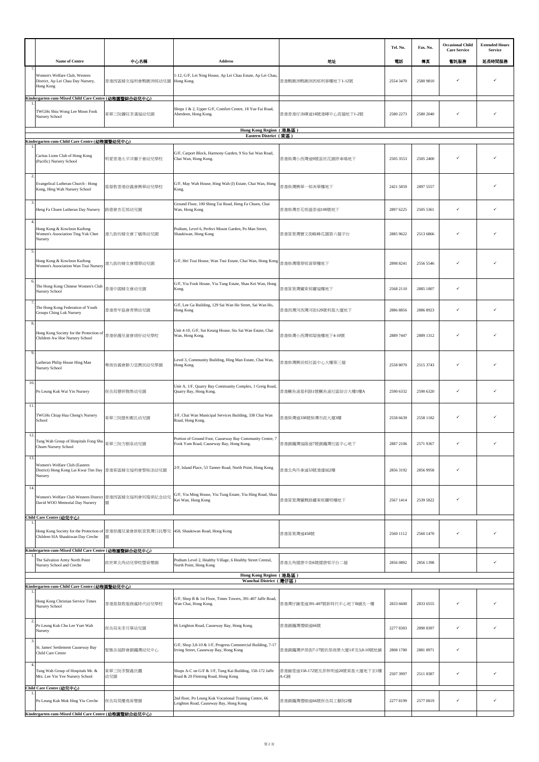|                         |                                                                                                                      |                                                          |                                                                                                                |                                        | Tel. No.  | Fax. No.  | <b>Occasional Child</b><br><b>Care Service</b> | <b>Extended Hours</b><br>Service |
|-------------------------|----------------------------------------------------------------------------------------------------------------------|----------------------------------------------------------|----------------------------------------------------------------------------------------------------------------|----------------------------------------|-----------|-----------|------------------------------------------------|----------------------------------|
|                         | <b>Name of Centre</b>                                                                                                | 中心名稱                                                     | <b>Address</b>                                                                                                 | 地址                                     | 電話        | 傳真        | 暫託服務                                           | 延長時間服務                           |
| $\overline{7}$          | Women's Welfare Club, Western<br>District, Ap Lei Chau Day Nursery,<br>Hong Kong                                     | 香港西區婦女福利會鴨脷洲邨幼兒園                                         | 1-12, G/F, Lei Ning House, Ap Lei Chau Estate, Ap Lei Chau,<br>Hong Kong.                                      | 香港鴨脷洲鴨脷洲西邨利寧樓地下1-12號                   | 2554 3470 | 2580 9810 |                                                |                                  |
|                         | Kindergarten-cum-Mixed Child Care Centre (幼稚園暨綜合幼兒中心)<br>TWGHs Shiu Wong Lee Moon Fook<br>Nursery School             | 東華三院蕭旺李滿福幼兒園                                             | Shops 1 & 2, Upper G/F, Comfort Centre, 18 Yue Fai Road,<br>Aberdeen, Hong Kong.                               | 香港香港仔漁暉道18號港暉中心高層地下1-2號                | 2580 2273 | 2580 2040 | ✓                                              |                                  |
|                         |                                                                                                                      |                                                          | Hong Kong Region (港島區)<br>Eastern District (東區)                                                                |                                        |           |           |                                                |                                  |
|                         | Kindergarten-c <u>um</u> -Child Care Centre (幼稚園暨幼兒中心)                                                               |                                                          |                                                                                                                |                                        |           |           |                                                |                                  |
|                         | Caritas Lions Club of Hong Kong<br>(Pacific) Nursery School                                                          | 明愛香港太平洋獅子會幼兒學校                                           | G/F, Carport Block, Harmony Garden, 9 Siu Sai Wan Road,<br>Chai Wan, Hong Kong.                                | 香港柴灣小西灣道9號富欣花園停車場地下                    | 2505 3553 | 2505 2400 | ✓                                              |                                  |
| 2.<br>$\overline{3}$    | Evangelical Lutheran Church - Hong<br>Kong, Hing Wah Nursery School                                                  | 基督教香港信義會興華幼兒學校                                           | G/F, May Wah House, Hing Wah (I) Estate, Chai Wan, Hong<br>Kong.                                               | 昏港柴灣興華一邨美華樓地下                          | 2421 5859 | 2897 5557 |                                                |                                  |
|                         | Heng Fa Chuen Lutheran Day Nursery                                                                                   | 路德會杏花邨幼兒園                                                | Ground Floor, 100 Shing Tai Road, Heng Fa Chuen, Chai<br>Wan, Hong Kong                                        | 香港柴灣杏花邨盛泰道100號地下                       | 2897 6225 | 2505 5361 | ✓                                              |                                  |
| $\overline{4}$          | Hong Kong & Kowloon Kaifong<br>Women's Association Ting Yuk Chee<br>Nursery                                          | 港九街坊婦女會丁毓珠幼兒園                                            | Podium, Level 6, Perfect Mount Garden, Po Man Street,<br>Shaukiwan, Hong Kong                                  | 香港筲箕灣寶文街峻峰花園第六層平台                      | 2885 9622 | 2513 6866 | ✓                                              |                                  |
| 5                       | Hong Kong & Kowloon Kaifong<br>Women's Association Wan Tsui Nursery                                                  | 港九街坊婦女會環翠幼兒園                                             | G/F, Hei Tsui House, Wan Tsui Estate, Chai Wan, Hong Kong                                                      | 香港柴灣環翠邨喜翠樓地下                           | 2898 8241 | 2556 5546 | ✓                                              |                                  |
| 6                       | The Hong Kong Chinese Women's Club<br>Nursery School                                                                 | 香港中國婦女會幼兒園                                               | G/F, Yiu Fook House, Yiu Tung Estate, Shau Kei Wan, Hong<br>Kong.                                              | 香港筲箕灣耀東邨耀福樓地下                          | 2568 2110 | 2885 1807 | ✓                                              |                                  |
|                         | The Hong Kong Federation of Youth<br>Groups Ching Lok Nursery                                                        | 香港青年協會青樂幼兒園                                              | G/F, Lee Ga Building, 129 Sai Wan Ho Street, Sai Wan Ho,<br>Hong Kong                                          | 香港西灣河西灣河街129號利基大廈地下                    | 2886 8856 | 2886 8923 | ✓                                              |                                  |
|                         | Hong Kong Society for the Protection of<br>Children Aw Hoe Nursery School                                            | 香港保護兒童會胡好幼兒學校                                            | Unit 4-10, G/F, Sui Keung House, Siu Sai Wan Estate, Chai<br>Wan, Hong Kong.                                   | 香港柴灣小西灣邨瑞強樓地下4-10號                     | 2889 7447 | 2889 1312 |                                                |                                  |
| 9                       | Lutheran Philip House Hing Man<br>Nursery School                                                                     | 粵南信義會腓力堂興民幼兒學園                                           | Level 3, Community Building, Hing Man Estate, Chai Wan,<br>Hong Kong.                                          | 香港柴灣興民邨社區中心大樓第三層                       | 2558 8070 | 2515 3743 | ✓                                              |                                  |
| 10.                     | Po Leung Kuk Wai Yin Nursery                                                                                         | 保良局慧妍雅集幼兒園                                               | Unit A, 1/F, Quarry Bay Community Complex, 1 Greig Road,<br>Quarry Bay, Hong Kong.                             | 香港鰂魚涌基利路1號鰂魚涌社區綜合大樓1樓A                 | 2590 6332 | 2590 6320 |                                                |                                  |
| 11.                     | TWGHs Chiap Hua Cheng's Nursery<br>School                                                                            | 東華三院捷和鄭氏幼兒園                                              | 3/F, Chai Wan Municipal Services Building, 338 Chai Wan<br>Road, Hong Kong.                                    | 香港柴灣道338號柴灣市政大廈3樓                      | 2558 6639 | 2558 1182 | ✓                                              |                                  |
| 12<br>13.               | Tung Wah Group of Hospitals Fong Shu<br>Chuen Nursery School                                                         | 東華三院方樹泉幼兒園                                               | Portion of Ground Foor, Causeway Bay Community Centre, 7<br>Fook Yum Road, Causeway Bay, Hong Kong.            | 香港銅鑼灣福蔭道7號銅鑼灣社區中心地下                    | 2887 2106 | 2571 9367 |                                                |                                  |
|                         | Women's Welfare Club (Eastern<br>District) Hong Kong Lai Kwai Tim Day<br>Nursery                                     | 香港東區婦女福利會黎桂添幼兒園                                          | 2/F, Island Place, 53 Tanner Road, North Point, Hong Kong                                                      | 香港北角丹拿道53號港運城2樓                        | 2856 3192 | 2856 9958 | ✓                                              |                                  |
| 14                      | Women's Welfare Club Western District 香港西區婦女福利會何瑞棠紀念幼兒<br>David WOO Memorial Day Nursery<br>Child Care Centre (幼兒中心) | 岗                                                        | G/F, Yiu Ming House, Yiu Tung Estate, Yiu Hing Road, Shau<br>Kei Wan, Hong Kong                                | 香港筲箕灣耀興路耀東邨耀明樓地下                       | 2567 1414 | 2539 5822 | ✓                                              |                                  |
|                         | Children SIA Shaukiwan Day Creche                                                                                    | Hong Kong Society for the Protection of 香港保護兒童會新航筒箕灣日託嬰兒 | 458, Shaukiwan Road, Hong Kong                                                                                 | 香港筲箕灣道458號                             | 2560 1112 | 2560 1470 | ✓                                              |                                  |
|                         | Kindergarten-cum-Mixed Child Care Centre (幼稚園暨綜合幼兒中心)<br>The Salvation Army North Point<br>Nursery School and Creche | 救世軍北角幼兒學校暨育嬰園                                            | Podium Level 2, Healthy Village, 6 Healthy Street Central,<br>North Point, Hong Kong<br>Hong Kong Region (港島區) | 香港北角健康中街6號健康邨平台二層                      | 2856 0892 | 2856 1398 |                                                | ✓                                |
|                         | Kindergarten-cum-Child Care Centre (幼稚園暨幼兒中心)                                                                        |                                                          | Wanchai District (灣仔區)                                                                                         |                                        |           |           |                                                |                                  |
|                         | Hong Kong Christian Service Times<br>Nursery School                                                                  | 香港基督教服務處時代幼兒學校                                           | G/F, Shop B & 1st Floor, Times Towers, 391-407 Jaffe Road,<br>Wan Chai, Hong Kong.                             | 香港灣仔謝斐道391-407號新時代中心地下B舗及一樓            | 2833 6600 | 2833 6555 | ✓                                              |                                  |
| $\overline{2}$          | Po Leung Kuk Chu Lee Yuet Wah<br>Nursery                                                                             | 保良局朱李月華幼兒園                                               | 66 Leighton Road, Causeway Bay, Hong Kong.                                                                     | 香港銅鑼灣禮頓道66號                            | 2277 8383 | 2890 8397 | ✓                                              | ✓                                |
| $\overline{\mathbf{3}}$ | St. James' Settlement Causeway Bay<br>Child Care Centre                                                              | 聖雅各福群會銅鑼灣幼兒中心                                            | G/F, Shop 3,8-10 & 1/F, Progress Commercial Building, 7-17<br>Irving Street, Causeway Bay, Hong Kong           | 香港銅鑼灣伊榮街7-17號欣榮商業大廈1/F及3,8-10號地鋪       | 2808 1780 | 2881 8971 | ✓                                              |                                  |
|                         | Tung Wah Group of Hospitals Mr. &<br>Mrs. Lee Yin Yee Nursery School<br>Child Care Centre (幼兒中心)                     | 東華三院李賢義伉儷<br>幼兒園                                         | Shops A-C on G/F & 1/F, Tung Kai Building, 158-172 Jaffe<br>Road & 20 Fleming Road, Hong Kong                  | 香港謝斐道158-172號及菲林明道20號東基大廈地下至1樓<br>A-C鋪 | 2507 3997 | 2511 8387 | ✓                                              |                                  |
|                         | Po Leung Kuk Mok Hing Yiu Creche<br>Kindergarten-cum-Mixed Child Care Centre (幼稚園暨綜合幼兒中心)                            | 保良局莫慶堯育嬰園                                                | 2nd floor, Po Leung Kuk Vocational Training Centre, 66<br>Leighton Road, Causeway Bay, Hong Kong               | 香港銅鑼灣禮頓道66號保良局工藝院2樓                    | 2277 8199 | 2577 0819 | ✓                                              | $\checkmark$                     |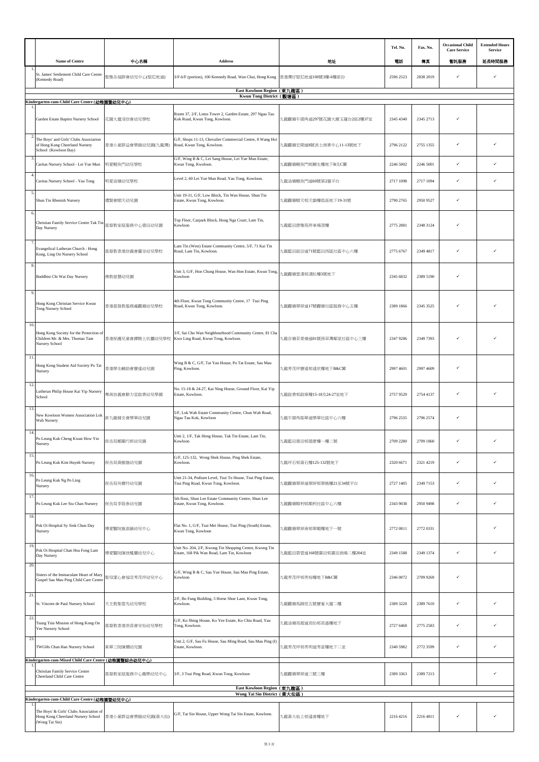|                          |                                                                                                                                                  |                   |                                                                                                       |                            | Tel. No.  | Fax. No.  | <b>Occasional Child</b><br><b>Care Service</b> | <b>Extended Hours</b><br>Service |
|--------------------------|--------------------------------------------------------------------------------------------------------------------------------------------------|-------------------|-------------------------------------------------------------------------------------------------------|----------------------------|-----------|-----------|------------------------------------------------|----------------------------------|
|                          | Name of Centre                                                                                                                                   | 中心名稱              | Address                                                                                               | 地址                         | 電話        | 傳真        | 暂託服務                                           | 延長時間服務                           |
|                          | St. James' Settlement Child Care Centre<br>(Kennedy Road)                                                                                        | 聖雅各福群會幼兒中心(堅尼地道)  | 3/F-6/F (portion), 100 Kennedy Road, Wan Chai, Hong Kong 香港灣仔堅尼地道100號3樓-6樓部份                          |                            | 2596 2523 | 2838 2019 | ✓                                              |                                  |
|                          |                                                                                                                                                  |                   | East Kowloon Region (東九龍區)<br>Kwun Tong District (觀塘區)                                                |                            |           |           |                                                |                                  |
|                          | Kindergarten-cum-Child Care Centre (幼稚園暨幼兒中心)<br>Garden Estate Baptist Nursery School                                                            | 花園大廈浸信會幼兒學校       | Room 37, 2/F, Lotus Tower 2, Garden Estate, 297 Ngau Tau<br>Kok Road, Kwun Tong, Kowloon.             | 九龍觀塘牛頭角道297號花園大厦玉蓮台2座2樓37室 | 2345 4340 | 2345 2713 | ✓                                              |                                  |
| $\overline{2}$           | The Boys' and Girls' Clubs Association<br>of Hong Kong Cheerland Nursery<br>School (Kowloon Bay)                                                 | 香港小童群益會樂緻幼兒園(九龍灣) | G/F, Shops 11-13, Chevalier Commercial Centre, 8 Wang Hoi<br>Road, Kwun Tong, Kowloon.                | 九龍觀塘宏開道8號其士商業中心11-13號地下    | 2796 2122 | 2755 1355 | ✓                                              |                                  |
| 3                        | Caritas Nursery School - Lei Yue Mun                                                                                                             | 明愛鯉魚門幼兒學校         | G/F, Wing B & C, Lei Sang House, Lei Yue Mun Estate,<br>Kwun Tong, Kwoloon.                           | 九龍觀塘鯉魚門邨鯉生樓地下B及C翼          | 2246 5002 | 2246 5001 | ✓                                              | ✓                                |
| $\overline{4}$           | Caritas Nursery School - Yau Tong                                                                                                                | 明愛油塘幼兒學校          | Level 2, 60 Lei Yue Mun Road, Yau Tong, Kowloon.                                                      | 九龍油塘鯉魚門道60號第2層平台           | 2717 1098 | 2717 1094 | ✓                                              | ✓                                |
| $\overline{\phantom{a}}$ | Shun Tin Rhenish Nursery                                                                                                                         | 禮賢會順天幼兒園          | Unit 19-31, G/F, Low Block, Tin Wan House, Shun Tin<br>Estate, Kwun Tong, Kowloon.                    | 九龍觀塘順天邨天韻樓低座地下19-31號       | 2790 2765 | 2950 9527 | ✓                                              |                                  |
| 6.                       | Christian Family Service Centre Tak Tin   基督教家庭服務中心德田幼兒園<br>Day Nursery                                                                          |                   | Top Floor, Carpark Block, Hong Nga Court, Lam Tin,<br>Kowloon                                         | 九龍藍田康雅苑停車場頂樓               | 2775 2881 | 2348 3124 | ✓                                              |                                  |
| -7                       | Evangelical Lutheran Church - Hong<br>Kong, Ling On Nursery School                                                                               | 基督教香港信義會靈安幼兒學校    | Lam Tin (West) Estate Community Centre, 5/F, 71 Kai Tin<br>Road, Lam Tin, Kowloon.                    | 九龍藍田啟田道71號藍田西區社區中心六樓       | 2775 6767 | 2349 4817 | ✓                                              |                                  |
| 8.<br>9.                 | Buddhist Chi Wai Day Nursery                                                                                                                     | 佛教慈慧幼兒園           | Unit 3, G/F, Hon Chung House, Wan Hon Estate, Kwun Tong,<br>Kowloon                                   | 九龍觀塘雲漢邨漢松樓3號地下             | 2345 6832 | 2389 5190 | ✓                                              |                                  |
|                          | Hong Kong Christian Service Kwun<br>Tong Nursery School                                                                                          | 香港基督教服務處觀塘幼兒學校    | 4th Floor, Kwun Tong Community Centre, 17 Tsui Ping<br>Road, Kwun Tong, Kowloon.                      | 九龍觀塘翠屏道17號觀塘社區服務中心五樓       | 2389 1866 | 2345 3525 | ✓                                              |                                  |
| 10.                      | Hong Kong Society for the Protection of<br>Children Mr. & Mrs. Thomas Tam<br>Nursery School                                                      | 香港保護兒童會譚雅士伉儷幼兒學校  | 3/F, Sai Cho Wan Neighbourhood Community Centre, 81 Cha<br>Kwo Ling Road, Kwun Tong, Kowloon.         | 九龍官塘茶果嶺道81號茜草灣鄰里社區中心三樓     | 2347 9286 | 2349 7393 | ✓                                              |                                  |
| 11.                      | Hong Kong Student Aid Society Po Tat<br>Nursery                                                                                                  | 香港學生輔助會寶達幼兒園      | Wing B & C, G/F, Tat Yan House, Po Tat Estate, Sau Mau<br>Ping, Kowloon.                              | 九龍秀茂坪寶達邨達欣樓地下B&C翼          | 2997 4601 | 2997 4609 | ✓                                              |                                  |
| 12                       | Lutheran Philip House Kai Yip Nursery<br>School                                                                                                  | 粤南信義會腓力堂啟業幼兒學園    | No. 15-18 & 24-27, Kai Ning House, Ground Floor, Kai Yip<br>Estate, Kowloon.                          | 九龍啟業邨啟寧樓15-18及24-27室地下     | 2757 9529 | 2754 4137 | ✓                                              |                                  |
| 13.                      | New Kowloon Women Association Lok<br>Wah Nursery                                                                                                 | 新九龍婦女會樂華幼兒園       | 5/F, Lok Wah Estate Community Centre, Chun Wah Road,<br>Ngau Tau Kok, Kowloon                         | 九龍牛頭角振華道樂華社區中心六樓           | 2796 2535 | 2796 2574 | $\checkmark$                                   |                                  |
| 14                       | Po Leung Kuk Cheng Kwan How Yin<br>Nursery                                                                                                       | 保良局鄭關巧妍幼兒園        | Unit 2, 1/F, Tak Hong House, Tak Tin Estate, Lam Tin,<br>Kowloon                                      | 九龍藍田德田邨德康樓一樓二號             | 2709 2280 | 2709 1860 | ✓                                              | ✓                                |
| 15.                      | Po Leung Kuk Kim Huynh Nursery                                                                                                                   | 保良局黃樹雄幼兒園         | G/F, 125-132, Wong Shek House, Ping Shek Estate,<br>Kowloon.                                          | 九龍坪石邨黃石樓125-132號地下         | 2320 6671 | 2321 4219 | $\checkmark$                                   | ✓                                |
| 16.                      | Po Leung Kuk Ng Po Ling<br>Nursery                                                                                                               | 保良局吳寶玲幼兒園         | Unit 21-34, Podium Level, Tsui To House, Tsui Ping Estate,<br>Tsui Ping Road, Kwun Tong, Kowloon.     | 九龍觀塘翠屏道翠屏邨翠桃樓21至34號平台      | 2727 1405 | 2349 7153 | ✓                                              | ✓                                |
| 17.                      | Po Leung Kuk Lee Siu Chan Nursery                                                                                                                | 保良局李筱參幼兒園         | 5th floor, Shun Lee Estate Community Centre, Shun Lee<br>Estate, Kwun Tong, Kowloon.                  | 九龍觀塘順利邨順利社區中心六樓            | 2343 9038 | 2950 9498 | ✓                                              | ✓                                |
| 18.                      | Pok Oi Hospital Sy Siok Chun Day<br>Nursery                                                                                                      | 博愛醫院施淑鎮幼兒中心       | Flat No. 1, G/F, Tsui Mei House, Tsui Ping (South) Estate,<br>Kwun Tong, Kowloon                      | 九龍觀塘翠屏南邨翠楣樓地下一號            | 2772 0811 | 2772 0331 |                                                | ✓                                |
| 19.                      | Pok Oi Hospital Chan Hsu Fong Lam<br>Day Nursery                                                                                                 | 博愛醫院陳徐鳳蘭幼兒中心      | Unit No. 204, 2/F, Kwong Tin Shopping Centre, Kwong Tin<br>Estate, 168 Pik Wan Road, Lam Tin, Kowloon | 九龍藍田碧雲道168號廣田邨廣田商場二樓204室   | 2349 1588 | 2349 1374 | ✓                                              | ✓                                |
| 20.                      | Sisters of the Immaculate Heart of Mary<br>Gospel Sau Mau Ping Child Care Centre                                                                 | 聖母潔心會福音秀茂坪幼兒中心    | G/F, Wing B & C, Sau Yue House, Sau Mau Ping Estate,<br>Kowloon                                       | 九龍秀茂坪邨秀裕樓地下B&C翼            | 2346 0072 | 2709 9269 | ✓                                              |                                  |
| 21.                      | St. Vincent de Paul Nursery School                                                                                                               | 天主教聖雲先幼兒學校        | 2/F, Bo Fung Building, 5 Horse Shoe Lane, Kwun Tong,<br>Kowloon.                                      | 九龍觀塘馬蹄徑五號寶峯大廈二樓            | 2389 3228 | 2389 7610 | $\checkmark$                                   | ✓                                |
| 22.                      | Tsung Tsin Mission of Hong Kong On<br>Yee Nursery School                                                                                         | 基督教香港崇真會安怡幼兒學校    | G/F, Ko Shing House, Ko Yee Estate, Ko Chiu Road, Yau<br>Tong, Kowloon.                               | 九龍油塘高超道高怡邨高盛樓地下            | 2727 6468 | 2775 2583 | ✓                                              | ✓                                |
| 23.                      | TWGHs Chan Han Nursery School                                                                                                                    | 東華三院陳嫺幼兒園         | Unit 2, G/F, Sau Fu House, Sau Ming Road, Sau Mau Ping (I)<br>Estate, Kowloon.                        | 九龍秀茂坪邨秀明道秀富樓地下二室           | 2340 5982 | 2772 3599 | ✓                                              | ✓                                |
|                          | Kindergarten-cum-Mixed Child Care Centre (幼稚園暨綜合幼兒中心)<br>Christian Family Service Centre<br>Cheerland Child Care Centre                          | 基督教家庭服務中心趣樂幼兒中心   | 3/F, 3 Tsui Ping Road, Kwun Tong, Kowloon                                                             | 九龍觀塘翠屏道三號三樓                | 2389 3363 | 2389 7213 |                                                | ✓                                |
|                          |                                                                                                                                                  |                   | East Kowloon Region (東九龍區)<br>Wong Tai Sin District (黃大仙區)                                            |                            |           |           |                                                |                                  |
|                          | Kindergarten-cum-Child Care Centre (幼稚園暨幼兒中心)<br>The Boys' & Girls' Clubs Association of<br>Hong Kong Cheerland Nursery School<br>(Wong Tai Sin) | 香港小童群益會樂緻幼兒園(黃大仙) | G/F, Tat Sin House, Upper Wong Tai Sin Estate, Kowloon.                                               | 九龍黃大仙上邨達善樓地下               | 2216 4216 | 2216 4811 | ✓                                              |                                  |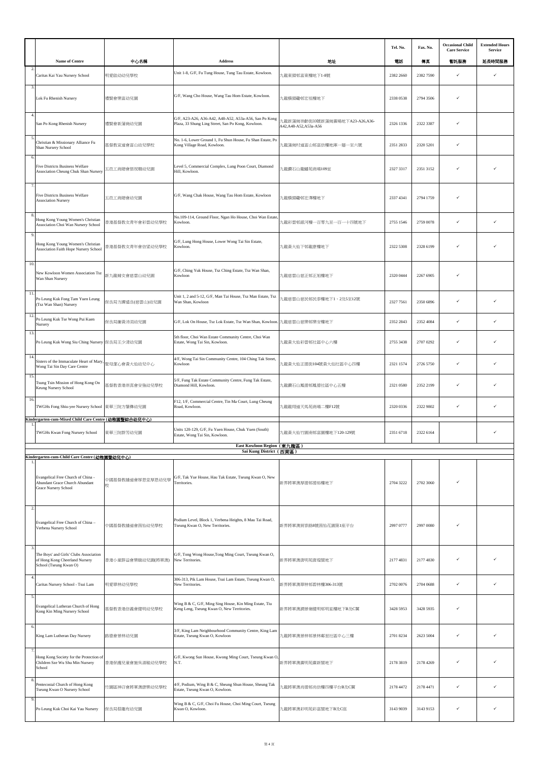|                |                                                                                                                                               |                       |                                                                                                             |                                                          | Tel. No.  | Fax. No.  | <b>Occasional Child</b><br><b>Care Service</b> | <b>Extended Hours</b><br>Service |
|----------------|-----------------------------------------------------------------------------------------------------------------------------------------------|-----------------------|-------------------------------------------------------------------------------------------------------------|----------------------------------------------------------|-----------|-----------|------------------------------------------------|----------------------------------|
|                | Name of Centre                                                                                                                                | 中心名稱                  | Address                                                                                                     | 地址                                                       | 電話        | 傳真        | 暫託服務                                           | 延長時間服務                           |
|                | Caritas Kai Yau Nursery School                                                                                                                | 明愛啟幼幼兒學校              | Unit 1-8, G/F, Fu Tung House, Tung Tau Estate, Kowloon.                                                     | 九龍東頭邨富東樓地下1-8號                                           | 2382 2660 | 2382 7590 | ✓                                              | ✓                                |
| 3.             | Lok Fu Rhenish Nursery                                                                                                                        | 禮賢會樂富幼兒園              | G/F, Wang Cho House, Wang Tau Hom Estate, Kowloon.                                                          | 九龍橫頭磡邨宏祖樓地下                                              | 2338 0538 | 2794 3506 | ✓                                              |                                  |
| $\overline{4}$ | San Po Kong Rhenish Nursery                                                                                                                   | 禮賢會新蒲崗幼兒園             | G/F, A23-A26, A36-A42, A48-A52, A53a-A56, San Po Kong<br>Plaza, 33 Shung Ling Street, San Po Kong, Kowloon. | 九龍新蒲崗崇齡街33號新蒲崗廣場地下A23-A26,A36-<br>A42, A48-A52, A53a-A56 | 2326 1336 | 2322 3387 | $\checkmark$                                   |                                  |
| 5              | Christian & Missionary Alliance Fu<br>Shan Nursery School                                                                                     | 基督教宣道會富山幼兒學校          | No. 1-6, Lower Ground 1, Fu Shun House, Fu Shan Estate, Po<br>Kong Village Road, Kowloon.                   | 九龍蒲崗村道富山邨富信樓地庫一層一至六號                                     | 2351 2833 | 2320 5201 | $\checkmark$                                   |                                  |
| 6              | <b>Five Districts Business Welfare</b><br>Association Cheung Chuk Shan Nursery                                                                | 五邑工商總會張祝珊幼兒園          | Level 5, Commercial Complex, Lung Poon Court, Diamond<br>Hill, Kowloon.                                     | 九龍鑽石山龍蟠苑商場109室                                           | 2327 3317 | 2351 3152 |                                                |                                  |
| $\overline{7}$ | Five Districts Business Welfare<br><b>Association Nursery</b>                                                                                 | 五邑工商總會幼兒園             | G/F, Wang Chak House, Wang Tau Hom Estate, Kowloon                                                          | 九龍橫頭磡邨宏澤樓地下                                              | 2337 4341 | 2794 1759 | $\checkmark$                                   |                                  |
|                | Hong Kong Young Women's Christian<br>Association Choi Wan Nursery School                                                                      | 香港基督教女青年會彩雲幼兒學校       | No.109-114, Ground Floor, Ngan Ho House, Choi Wan Estate<br>Kowloon.                                        | 九龍彩雲邨銀河樓一百零九至一百一十四號地下                                    | 2755 1546 | 2759 0078 | $\checkmark$                                   |                                  |
| 9.             | Hong Kong Young Women's Christian<br>Association Faith Hope Nursery School                                                                    | 香港基督教女青年會信望幼兒學校       | G/F, Lung Hong House, Lower Wong Tai Sin Estate,<br>Kowloon.                                                | 九龍黃大仙下邨龍康樓地下                                             | 2322 5308 | 2328 6199 | V                                              |                                  |
| 10.            | New Kowloon Women Association Tsz<br>Wan Shan Nursery                                                                                         | 新九龍婦女會慈雲山幼兒園          | G/F, Ching Yuk House, Tsz Ching Estate, Tsz Wan Shan,<br>Kowloon                                            | 九龍慈雲山慈正邨正旭樓地下                                            | 2320 0444 | 2267 6905 | ✓                                              |                                  |
| 11.            | Po Leung Kuk Fong Tam Yuen Leung<br>(Tsz Wan Shan) Nursery                                                                                    | 保良局方譚遠良(慈雲山)幼兒園       | Unit 1, 2 and 5-12, G/F, Man Tai House, Tsz Man Estate, Tsz<br>Wan Shan, Kowloon                            | L龍慈雲山慈民邨民泰樓地下1、2及5至12號                                   | 2327 7561 | 2350 6896 | ✓                                              | ✓                                |
| 12.            | Po Leung Kuk Tse Wong Pui Kuen<br>Nursery                                                                                                     | 保良局謝黃沛涓幼兒園            | G/F, Lok On House, Tsz Lok Estate, Tsz Wan Shan, Kowloon.                                                   | 九龍慈雲山慈樂邨樂安樓地下                                            | 2352 2843 | 2352 4084 | $\checkmark$                                   | ✓                                |
| 13.            | Po Leung Kuk Wong Siu Ching Nursery 保良局王少清幼兒園                                                                                                 |                       | 5th floor, Choi Wan Estate Community Centre, Choi Wan<br>Estate, Wong Tai Sin, Kowloon.                     | 九龍黃大仙彩雲邨社區中心六樓                                           | 2755 3438 | 2707 0292 | $\checkmark$                                   |                                  |
| 14             | Sisters of the Immaculate Heart of Mary<br>Wong Tai Sin Day Care Centre                                                                       | 聖母潔心會黃大仙幼兒中心          | 4/F, Wong Tai Sin Community Centre, 104 Ching Tak Street,<br>Kowloon                                        | 九龍黃大仙正德街104號黃大仙社區中心四樓                                    | 2321 1574 | 2726 5750 | $\checkmark$                                   | ✓                                |
| 15.            | Tsung Tsin Mission of Hong Kong On<br>Keung Nursery School                                                                                    | 基督教香港崇真會安強幼兒學校        | 5/F, Fung Tak Estate Community Centre, Fung Tak Estate,<br>Diamond Hill, Kowloon.                           | 九龍鑽石山鳳德邨鳳德社區中心五樓                                         | 2321 0580 | 2352 2199 | $\checkmark$                                   |                                  |
| 16.            | TWGHs Fong Shiu-yee Nursery School                                                                                                            | 東華三院方肇彝幼兒園            | F12, 1/F, Commercial Centre, Tin Ma Court, Lung Cheung<br>Road, Kowloon.                                    | 九龍龍翔道天馬苑商場二樓F12號                                         | 2320 0336 | 2322 9802 | $\checkmark$                                   |                                  |
|                | Kindergarten-cum-Mixed Child Care Centre (幼稚園暨綜合幼兒中心)<br>TWGHs Kwan Fong Nursery School                                                       | 東華三院群芳幼兒園             | Units 120-129, G/F, Fu Yuen House, Chuk Yuen (South)<br>Estate, Wong Tai Sin, Kowloon.                      | 九龍黃大仙竹園南邨富園樓地下120-129號                                   | 2351 6718 | 2322 6164 |                                                | ✓                                |
|                |                                                                                                                                               |                       | East Kowloon Region (東九龍區)<br>Sai Kung District (西貢區)                                                       |                                                          |           |           |                                                |                                  |
|                | Kindergarten-cum-Child Care Centre (幼稚園暨幼兒中心)<br>Evangelical Free Church of China -<br>Abundant Grace Church Abundant<br>Grace Nursery School | 中國基督教播道會厚恩堂厚恩幼兒學<br>校 | G/F, Tak Yue House, Hau Tak Estate, Tseung Kwan O, New<br>Territories.                                      | 新界將軍澳厚德邨德裕樓地下                                            | 2704 3222 | 2702 3060 |                                                |                                  |
| $\overline{2}$ | Evangelical Free Church of China -<br>Verbena Nursery School                                                                                  | 中國基督教播道會茵怡幼兒學校        | Podium Level, Block 1, Verbena Heights, 8 Mau Tai Road,<br>Tseung Kwan O, New Territories.                  | 新界將軍澳貿泰路8號茵怡花園第1座平台                                      | 2997 0777 | 2997 0080 |                                                |                                  |
| -3             | The Boys' and Girls' Clubs Association<br>of Hong Kong Cheerland Nursery<br>School (Tseung Kwan O)                                            | 香港小童群益會樂緻幼兒園(將軍澳)     | G/F, Tong Wong House, Tong Ming Court, Tseung Kwan O,<br>New Territories.                                   | 新界將軍澳唐明苑唐煌閣地下                                            | 2177 4831 | 2177 4830 | ✓                                              |                                  |
| 4.             | Caritas Nursery School - Tsui Lam                                                                                                             | 明愛翠林幼兒學校              | 306-313, Pik Lam House, Tsui Lam Estate, Tseung Kwan O,<br>New Territories.                                 | 新界將軍澳翠林邨碧林樓306-313號                                      | 2702 0076 | 2704 0688 | $\checkmark$                                   |                                  |
| 5.             | Evangelical Lutheran Church of Hong<br>Kong Kin Ming Nursery School                                                                           | 基督教香港信義會健明幼兒學校        | Wing B & C, G/F, Ming Sing House, Kin Ming Estate, Tiu<br>Keng Leng, Tseung Kwan O, New Territories.        | 新界將軍澳調景嶺健明邨明星樓地下B及C翼                                     | 3428 5953 | 3428 5935 | V                                              |                                  |
| 6.             | King Lam Lutheran Day Nursery                                                                                                                 | 路德會景林幼兒園              | 3/F, King Lam Neighbourhood Community Centre, King Lam<br>Estate, Tseung Kwan O, Kowloon                    | 九龍將軍澳景林邨景林鄰里社區中心三樓                                       | 2701 8234 | 2623 5004 | ✓                                              |                                  |
|                | Hong Kong Society for the Protection of<br>Children Sze Wu Shu Min Nursery<br>School                                                          | 香港保護兒童會施吳淑敏幼兒學校       | G/F, Kwong Sun House, Kwong Ming Court, Tseung Kwan O.<br>N.T.                                              | 新界將軍澳廣明苑廣新閣地下                                            | 2178 3819 | 2178 4269 | V                                              |                                  |
| 8              | Pentecostal Church of Hong Kong<br>Tseung Kwan O Nursery School                                                                               | 竹園區神召會將軍澳康樂幼兒學校       | 4/F, Podium, Wing B & C, Sheung Shun House, Sheung Tak<br>Estate, Tseung Kwan O, Kowloon.                   | └龍將軍澳尚德邨尚信樓四樓平台B及C翼                                      | 2178 4472 | 2178 4471 | $\checkmark$                                   | ✓                                |
| 9              | Po Leung Kuk Choi Kai Yau Nursery                                                                                                             | 保良局蔡繼有幼兒園             | Wing B & C, G/F, Choi Fu House, Choi Ming Court, Tseung<br>Kwan O, Kowloon.                                 | t.龍將軍澳彩明苑彩富閣地下B及C座                                       | 3143 9039 | 3143 9153 | $\checkmark$                                   | ✓                                |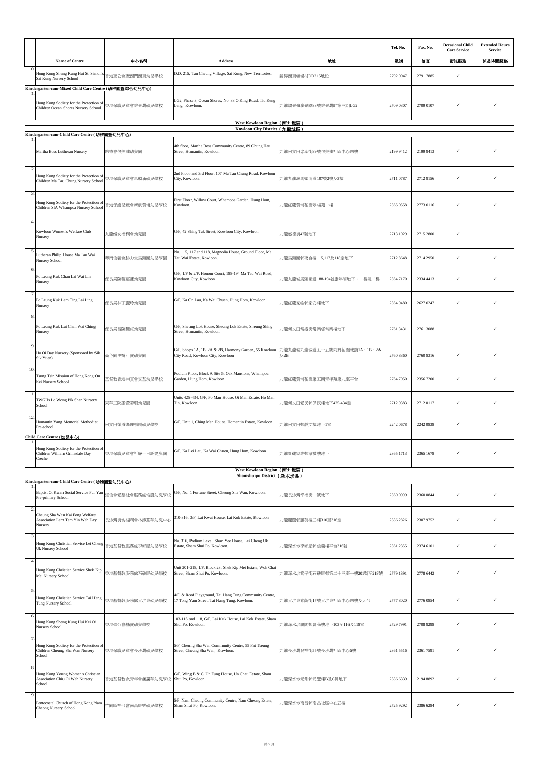|                         |                                                                                                                                          |                  |                                                                                                        |                                    | Tel. No.  | Fax. No.  | <b>Occasional Child</b><br><b>Care Service</b> | <b>Extended Hours</b><br>Service |
|-------------------------|------------------------------------------------------------------------------------------------------------------------------------------|------------------|--------------------------------------------------------------------------------------------------------|------------------------------------|-----------|-----------|------------------------------------------------|----------------------------------|
|                         | Name of Centre                                                                                                                           | 中心名稱             | Address                                                                                                | 地址                                 | 電話        | 傳真        | 暂託服務                                           | 延長時間服務                           |
| 10.                     | Hong Kong Sheng Kung Hui St. Simon's<br>Sai Kung Nursery School                                                                          | 香港聖公會聖西門西貢幼兒學校   | D.D. 215, Tan Cheung Village, Sai Kung, New Territories.                                               | 新界西貢頓場村DD215地段                     | 2792 0047 | 2791 7885 | $\checkmark$                                   |                                  |
|                         | Kindergarten-cum-Mixed Child Care Centre (幼稚園暨綜合幼兒中心)<br>Hong Kong Society for the Protection of<br>Children Ocean Shores Nursery School | 香港保護兒童會維景灣幼兒學校   | LG2, Phase 3, Ocean Shores, No. 88 O King Road, Tiu Keng<br>Leng, Kowloon.                             | 九龍調景嶺澳景路88號維景灣畔第三期LG2              | 2709 0307 | 2709 0107 | ✓                                              |                                  |
|                         |                                                                                                                                          |                  | West Kowloon Region (西九龍區)<br>Kowloon City District (九龍城區)                                             |                                    |           |           |                                                |                                  |
|                         | Kindergarten-cum-Child Care Centre (幼稚園暨幼兒中心)                                                                                            |                  |                                                                                                        |                                    |           |           |                                                |                                  |
|                         | Martha Boss Lutheran Nursery                                                                                                             | 路德會包美達幼兒園        | 4th floor, Martha Boss Community Centre, 89 Chung Hau<br>Street, Homantin, Kowloon                     | 九龍何文田忠孝街89號包美達社區中心四樓               | 2199 9412 | 2199 9413 | ✓                                              |                                  |
| $\overline{2}$          | Hong Kong Society for the Protection of<br>Children Ma Tau Chung Nursery School                                                          | 香港保護兒童會馬頭涌幼兒學校   | 2nd Floor and 3rd Floor, 107 Ma Tau Chung Road, Kowloon<br>City, Kowloon.                              | 九龍九龍城馬頭涌道107號2樓及3樓                 | 2711 0787 | 2712 9156 | $\checkmark$                                   |                                  |
| $\overline{\mathbf{3}}$ | Hong Kong Society for the Protection of<br>Children SIA Whampoa Nursery School                                                           | 香港保護兒童會新航黃埔幼兒學校  | First Floor, Willow Court, Whampoa Garden, Hung Hom,<br>Kowloon.                                       | 九龍紅磡黃埔花園翠楊苑一樓                      | 2365 0558 | 2773 0116 | ✓                                              |                                  |
| $\overline{4}$ .        | Kowloon Women's Welfare Club<br>Nursery                                                                                                  | 九龍婦女福利會幼兒園       | G/F, 42 Shing Tak Street, Kowloon City, Kowloon                                                        | 九龍盛德街42號地下                         | 2713 1029 | 2715 2800 | ✓                                              |                                  |
| 5                       | Lutheran Philip House Ma Tau Wai<br>Nursery School                                                                                       | 粵南信義會腓力堂馬頭圍幼兒學園  | No. 115, 117 and 118, Magnolia House, Ground Floor, Ma<br>Tau Wai Estate, Kowloon.                     | 九龍馬頭圍邨夜合樓115,117及118室地下            | 2712 8648 | 2714 2950 | $\checkmark$                                   | ✓                                |
| 6                       | Po Leung Kuk Chan Lai Wai Lin<br>Nursery                                                                                                 | 保良局陳黎惠蓮幼兒園       | G/F, 1/F & 2/F, Honour Court, 188-194 Ma Tau Wai Road,<br>Kowloon City, Kowloon                        | 九龍九龍城馬頭圍道188-194號康年閣地下、一樓及二樓       | 2364 7170 | 2334 4413 | ✓                                              |                                  |
|                         | Po Leung Kuk Lam Ting Lai Ling<br>Nursery                                                                                                | 保良局林丁麗玲幼兒園       | G/F, Ka On Lau, Ka Wai Chuen, Hung Hom, Kowloon.                                                       | 九龍紅磡家維邨家安樓地下                       | 2364 9480 | 2627 0247 | ✓                                              |                                  |
|                         | Po Leung Kuk Lui Chan Wai Ching<br>Nursery                                                                                               | 保良局呂陳慧貞幼兒園       | G/F, Sheung Lok House, Sheung Lok Estate, Sheung Shing<br>Street, Homantin, Kowloon.                   | 九龍何文田常盛街常樂邨常樂樓地下                   | 2761 3431 | 2761 3088 |                                                |                                  |
| 9                       | Ho Oi Day Nursery (Sponsored by Sik<br>Sik Yuen)                                                                                         | 嗇色園主辦可愛幼兒園       | G/F, Shops 1A, 1B, 2A & 2B, Harmony Garden, 55 Kowloon<br>City Road, Kowloon City, Kowloon             | ካ龍九龍城九龍城道五十五號同興花園地舖1A、1B、2A<br>及2B | 2760 8360 | 2760 8316 | ✓                                              |                                  |
| 10.                     | Tsung Tsin Mission of Hong Kong On<br>Kei Nursery School                                                                                 | 基督教香港崇真會安基幼兒學校   | Podium Floor, Block 9, Site 5, Oak Mansions, Whampoa<br>Garden, Hung Hom, Kowloon.                     | 九龍紅磡黃埔花園第五期青樺苑第九座平台                | 2764 7050 | 2356 7200 | ✓                                              |                                  |
| 11.                     | TWGHs Lo Wong Pik Shan Nursery<br>School                                                                                                 | 東華三院羅黃碧珊幼兒園      | Units 425-434, G/F, Po Man House, Oi Man Estate, Ho Man<br>Tin, Kowloon.                               | 九龍何文田愛民邨保民樓地下425-434室              | 2712 9383 | 2712 0117 | ✓                                              |                                  |
| 12                      | Homantin Yang Memorial Methodist<br>Pre-school                                                                                           | 何文田循道衛理楊震幼兒學校    | G/F, Unit 1, Ching Man House, Homantin Estate, Kowloon.                                                | 九龍何文田邨靜文樓地下1室                      | 2242 0678 | 2242 0838 | ✓                                              | ✓                                |
|                         | Child Care Centre (幼兒中心)<br>Hong Kong Society for the Protection of<br>Children William Grimsdale Day<br>Creche                          | 香港保護兒童會祈廉士日託嬰兒園  | G/F, Ka Lei Lau, Ka Wai Chuen, Hung Hom, Kowloon                                                       | 九龍紅磡家維邨家禮樓地下                       | 2365 1713 | 2365 1678 |                                                |                                  |
|                         |                                                                                                                                          |                  | West Kowloon Region (西九龍區)<br>Shamshuipo District (深水涉區)                                               |                                    |           |           |                                                |                                  |
|                         | Kindergarten-cum-Child Care Centre (幼稚園暨幼兒中心)                                                                                            |                  |                                                                                                        |                                    |           |           |                                                |                                  |
| 2.                      | Baptist Oi Kwan Social Service Pui Yan<br>Pre-primary School                                                                             | 浸信會愛羣社會服務處培殷幼兒學校 | G/F, No. 1 Fortune Street, Cheung Sha Wan, Kowloon.                                                    | 九龍長沙灣幸福街一號地下                       | 2360 0999 | 2360 0844 | $\checkmark$                                   | ✓                                |
|                         | Cheung Sha Wan Kai Fong Welfare<br>Association Lam Tam Yin Wah Day<br>Nursery                                                            | 長沙灣街坊福利會林譚燕華幼兒中心 | 310-316, 3/F, Lai Kwai House, Lai Kok Estate, Kowloon                                                  | 九龍麗閣邨麗葵樓三樓310至316室                 | 2386 2826 | 2307 9752 | ✓                                              | ✓                                |
| 3.                      | Hong Kong Christian Service Lei Cheng<br>Uk Nursery School                                                                               | 香港基督教服務處李鄭屋幼兒學校  | No. 316, Podium Level, Shun Yee House, Lei Cheng Uk<br>Estate, Sham Shui Po, Kowloon.                  | 九龍深水埗李鄭屋邨信義樓平台316號                 | 2361 2355 | 2374 6101 | ✓                                              | ✓                                |
|                         | Hong Kong Christian Service Shek Kip<br>Mei Nursery School                                                                               | 香港基督教服務處石硤尾幼兒學校  | Unit 201-218, 1/F, Block 23, Shek Kip Mei Estate, Woh Chai<br>Street, Sham Shui Po, Kowloon.           | 九龍深水埗窩仔街石硤尾邨第二十三座一樓201號至218號       | 2779 1891 | 2778 6442 | ✓                                              |                                  |
| -5.                     | Hong Kong Christian Service Tai Hang<br>Tung Nursery School                                                                              | 香港基督教服務處大坑東幼兒學校  | 4/F, & Roof Playground, Tai Hang Tung Community Centre,<br>17 Tong Yam Street, Tai Hang Tung, Kowloon. | 九龍大坑東棠蔭街17號大坑東社區中心四樓及天台            | 2777 8020 | 2776 0854 | ✓                                              |                                  |
| 6                       | Hong Kong Sheng Kung Hui Kei Oi<br>Nursery School                                                                                        | 香港聖公會基愛幼兒學校      | 103-116 and 118, G/F, Lai Kuk House, Lai Kok Estate, Sham<br>Shui Po, Kowloon.                         | 九龍深水埗麗閣邨麗菊樓地下103至116及118室          | 2729 7991 | 2708 9298 | ✓                                              | ✓                                |
| 7                       | Hong Kong Society for the Protection of<br>Children Cheung Sha Wan Nursery<br>School                                                     | 香港保護兒童會長沙灣幼兒學校   | 5/F, Cheung Sha Wan Community Centre, 55 Fat Tseung<br>Street, Cheung Sha Wan, Kowloon.                | 九龍長沙灣發祥街55號長沙灣社區中心5樓               | 2361 5516 | 2361 7591 | ✓                                              |                                  |
| 8                       | Hong Kong Young Women's Christian<br>Association Chiu Oi Wah Nursery<br>School                                                           | 香港基督教女青年會趙靄華幼兒學校 | G/F, Wing B & C, Un Fung House, Un Chau Estate, Sham<br>Shui Po, Kowloon.                              | 九龍深水埗元州邨元豐樓B及C翼地下                  | 2386 6339 | 2194 8892 | ✓                                              |                                  |
| 9.                      | Pentecostal Church of Hong Kong Nam<br>Cheong Nursery School                                                                             | 竹園區神召會南昌康樂幼兒學校   | 5/F, Nam Cheong Community Centre, Nam Cheong Estate,<br>Sham Shui Po, Kowloon.                         | 九龍深水埗南昌邨南昌社區中心五樓                   | 2725 9292 | 2386 6284 | ✓                                              | ✓                                |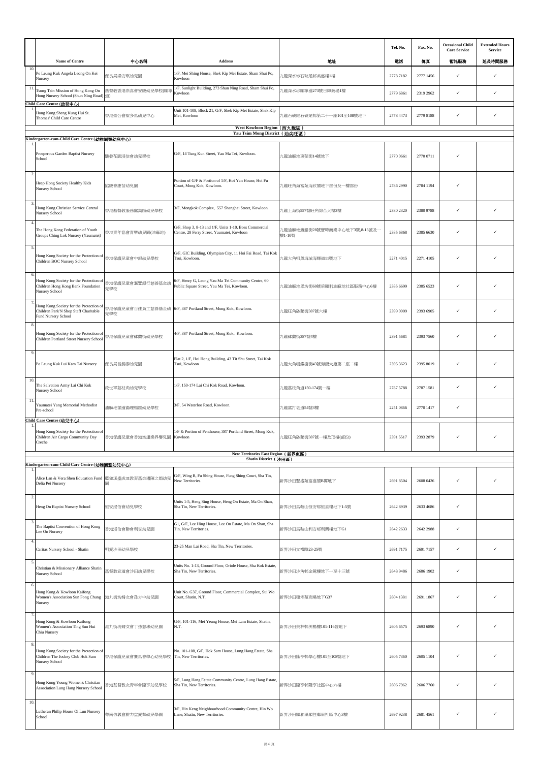|                    |                                                                                                                   |                         |                                                                                                      |                                         | Tel. No.  | Fax. No.  | <b>Occasional Child</b>     | <b>Extended Hours</b> |
|--------------------|-------------------------------------------------------------------------------------------------------------------|-------------------------|------------------------------------------------------------------------------------------------------|-----------------------------------------|-----------|-----------|-----------------------------|-----------------------|
|                    | Name of Centre                                                                                                    | 中心名稱                    | Address                                                                                              | 地址                                      | 電話        | 傳真        | <b>Care Service</b><br>暂託服務 | Service<br>延長時間服務     |
| 10.                | Po Leung Kuk Angela Leong On Kei<br>Nursery                                                                       | 保良局梁安琪幼兒園               | 1/F, Mei Shing House, Shek Kip Mei Estate, Sham Shui Po,<br>Kowloon                                  | 九龍深水埗石硤尾邨美盛樓1樓                          | 2778 7182 | 2777 1456 | ✓                           | ✓                     |
| 11.                | Tsung Tsin Mission of Hong Kong On<br>Hong Nursery School (Shun Ning Road) 道)                                     | 基督教香港崇真會安康幼兒學校(順寧       | 1/F, Sunlight Building, 273 Shun Ning Road, Sham Shui Po,<br>Kowloon                                 | 九龍深水埗順寧道273號日輝商場1樓                      | 2779 6861 | 2319 2962 | ✓                           | ✓                     |
|                    | Child Care Centre (幼兒中心)<br>Hong Kong Sheng Kung Hui St.<br>Thomas' Child Care Centre                             | 香港聖公會聖多馬幼兒中心            | Unit 101-108, Block 21, G/F, Shek Kip Mei Estate, Shek Kip<br>Mei, Kowloon                           | 九龍石硤尾石硤尾邨第二十一座101至108號地下                | 2778 4473 | 2779 8188 | ✓                           | ✓                     |
|                    |                                                                                                                   |                         | West Kowloon Region (西九龍區)<br>Yau Tsim Mong District (油尖旺區)                                          |                                         |           |           |                             |                       |
|                    | Kindergarten-cum-Child Care Centre (幼稚園暨幼兒中心)                                                                     |                         |                                                                                                      |                                         |           |           |                             |                       |
|                    | Prosperous Garden Baptist Nursery<br>School                                                                       | 駿發花園浸信會幼兒學校             | G/F, 14 Tung Kun Street, Yau Ma Tei, Kowloon.                                                        | 九龍油麻地東莞街14號地下                           | 2770 0661 | 2770 0711 | ✓                           |                       |
| $\overline{2}$     | Heep Hong Society Healthy Kids<br>Nursery School                                                                  | 協康會康苗幼兒園                | Portion of G/F & Portion of 1/F, Hoi Yan House, Hoi Fu<br>Court, Mong Kok, Kowloon.                  | 九龍旺角海富苑海欣閣地下部份及一樓部份                     | 2786 2990 | 2784 1194 | ✓                           |                       |
| $\mathbf{3}$       | Hong Kong Christian Service Central<br><b>Nursery School</b>                                                      | 香港基督教服務處雋匯幼兒學校          | 3/F, Mongkok Complex, 557 Shanghai Street, Kowloon.                                                  | 九龍上海街557號旺角綜合大樓3樓                       | 2380 2320 | 2380 9788 | ✓                           | ✓                     |
| 5                  | The Hong Kong Federation of Youth<br>Groups Ching Lok Nursery (Yaumatei)                                          | 香港青年協會青樂幼兒園(油麻地)        | G/F, Shop 3, 8-13 and 1/F, Units 1-10, Boss Commercial<br>Centre, 28 Ferry Street, Yaumatei, Kowloon | 九龍油麻地渡船街28號寶時商業中心地下3號,8-13號及-<br>樓1-10號 | 2385 6868 | 2385 6630 | ✓                           |                       |
|                    | Hong Kong Society for the Protection of<br>Children BOC Nursery School                                            | 香港保護兒童會中銀幼兒學校           | G/F, GIC Building, Olympian City, 11 Hoi Fai Road, Tai Kok<br>Tsui, Kowloon                          | 九龍大角咀奧海城海輝道11號地下                        | 2271 4015 | 2271 4105 |                             |                       |
| 6.                 | Hong Kong Society for the Protection of<br>Children Hong Kong Bank Foundation<br>Nursery School                   | 香港保護兒童會滙豐銀行慈善基金幼<br>兒學校 | 6/F, Henry G, Leong Yau Ma Tei Community Centre, 60<br>Public Square Street, Yau Ma Tei, Kowloon.    | 九龍油麻地眾坊街60號梁顯利油麻地社區服務中心6樓               | 2385 6699 | 2385 6523 | ✓                           |                       |
|                    | Hong Kong Society for the Protection of<br>Children Park'N Shop Staff Charitable<br>Fund Nursery School           | 兒學校                     | 香港保護兒童會百佳員工慈善基金幼 6/F, 387 Portland Street, Mong Kok, Kowloon.                                        | 九龍旺角砵蘭街387號六樓                           | 2399 0909 | 2393 6905 | ✓                           | ✓                     |
| $\mathbf{\hat{z}}$ | Hong Kong Society for the Protection of<br>Children Portland Street Nursery School                                | 香港保護兒童會砵蘭街幼兒學校          | 4/F, 387 Portland Street, Mong Kok, Kowloon.                                                         | 九龍砵蘭街387號4樓                             | 2391 5681 | 2393 7560 | ✓                           |                       |
| 9.                 | Po Leung Kuk Lui Kam Tai Nursery                                                                                  | 保良局呂錦泰幼兒園               | Flat 2, 1/F, Hoi Hong Building, 43 Tit Shu Street, Tai Kok<br>Tsui, Kowloon                          | 九龍大角咀鐵樹街43號海康大廈第二座二樓                    | 2395 3623 | 2395 8019 | ✓                           |                       |
| 10.                | The Salvation Army Lai Chi Kok<br>Nursery School                                                                  | 救世軍荔枝角幼兒學校              | 1/F, 150-174 Lai Chi Kok Road, Kowloon.                                                              | 九龍荔枝角道150-174號一樓                        | 2787 5788 | 2787 1581 | ✓                           | ✓                     |
| 11.                | Yaumatei Yang Memorial Methodist<br>Pre-school                                                                    | 油麻地循道衛理楊震幼兒學校           | 3/F, 54 Waterloo Road, Kowloon.                                                                      | 九龍窩打老道54號3樓                             | 2251 0866 | 2770 1417 | ✓                           |                       |
|                    | Child Care Centre (幼兒中心)<br>Hong Kong Society for the Protection of<br>Children Air Cargo Community Day<br>Creche | 香港保護兒童會香港空運業界嬰兒園        | 1/F & Portion of Penthouse, 387 Portland Street, Mong Kok,<br>Kowloon                                | 九龍旺角砵蘭街387號一樓及頂樓(部份)                    | 2391 5517 | 2393 2879 | ✓                           | ✓                     |
|                    |                                                                                                                   |                         | New Territories East Region (新界東區)<br>Shatin District (沙田區)                                          |                                         |           |           |                             |                       |
|                    | Kindergarten-cum-Child Care Centre (幼稚園暨幼兒中心)                                                                     |                         |                                                                                                      |                                         |           |           |                             |                       |
|                    | Alice Lan & Vera Shen Education Fund 藍如溪盛成皿教育基金邊陳之娟幼兒<br>Delia Pei Nursery                                        | 茵                       | G/F, Wing B, Fu Shing House, Fung Shing Court, Sha Tin,<br>New Territories.                          | 新界沙田豐盛苑富盛閣B翼地下                          | 2691 8504 | 2608 0426 | ✓                           |                       |
| $\overline{2}$     | Heng On Baptist Nursery School                                                                                    | 恒安浸信會幼兒學校               | Units 1-5, Heng Sing House, Heng On Estate, Ma On Shan,<br>Sha Tin, New Territories.                 | 新界沙田馬鞍山恒安邨恒星樓地下1-5號                     | 2642 8939 | 2633 4686 | ✓                           |                       |
| 3                  | The Baptist Convention of Hong Kong<br>Lee On Nursery                                                             | 香港浸信會聯會利安幼兒園            | G1, G/F, Lee Hing House, Lee On Estate, Ma On Shan, Sha<br>Tin, New Territories.                     | 新界沙田馬鞍山利安邨利興樓地下G1                       | 2642 2633 | 2642 2988 | ✓                           |                       |
| 4.                 | Caritas Nursery School - Shatin                                                                                   | 明愛沙田幼兒學校                | 23-25 Man Lai Road, Sha Tin, New Territories.                                                        | 新界沙田文禮路23-25號                           | 2691 7175 | 2691 7157 | ✓                           | ✓                     |
| 5.<br>6.           | Christian & Missionary Alliance Shatin<br>Nursery School                                                          | 基督教宣道會沙田幼兒學校            | Units No. 1-13, Ground Floor, Oriole House, Sha Kok Estate,<br>Sha Tin, New Territories.             | 新界沙田沙角邨金鶯樓地下一至十三號                       | 2648 9486 | 2686 1902 | ✓                           |                       |
|                    | Hong Kong & Kowloon Kaifong<br>Women's Association Sun Fong Chung<br>Nursery                                      | 港九街坊婦女會孫方中幼兒園           | Unit No. G37, Ground Floor, Commercial Complex, Sui Wo<br>Court, Shatin, N.T.                        | 新界沙田穗禾苑商場地下G37                          | 2604 1381 | 2691 1867 | ✓                           | ✓                     |
|                    | Hong Kong & Kowloon Kaifong<br>Women's Association Ting Sun Hui<br>Chiu Nursery                                   | 港九街坊婦女會丁孫慧珠幼兒園          | G/F, 101-116, Mei Yeung House, Mei Lam Estate, Shatin,<br>N.T.                                       | 新界沙田美林邨美楊樓101-116號地下                    | 2605 6575 | 2693 6890 | ✓                           |                       |
| 8.                 | Hong Kong Society for the Protection of<br>Children The Jockey Club Hok Sam<br><b>Nursery School</b>              | 香港保護兒童會賽馬會學心幼兒學校        | No. 101-108, G/F, Hok Sam House, Lung Hang Estate, Sha<br>Tin, New Territories.                      | 新界沙田隆亨邨學心樓101至108號地下                    | 2605 7360 | 2605 1104 | ✓                           |                       |
| 9.                 | Hong Kong Young Women's Christian<br>Association Lung Hang Nursery School                                         | 香港基督教女青年會隆亨幼兒學校         | 5/F, Lung Hang Estate Community Centre, Lung Hang Estate,<br>Sha Tin, New Territories.               | 新界沙田隆亨邨隆亨社區中心六樓                         | 2606 7962 | 2606 7760 | ✓                           |                       |
| 10.                | Lutheran Philip House Oi Lun Nursery<br>School                                                                    | 粵南信義會腓力堂愛鄰幼兒學園          | 3/F, Hin Keng Neighbourhood Community Centre, Hin Wo<br>Lane, Shatin, New Territories.               | 新界沙田顯和里顯徑鄰里社區中心3樓                       | 2697 9238 | 2681 4561 | ✓                           | ✓                     |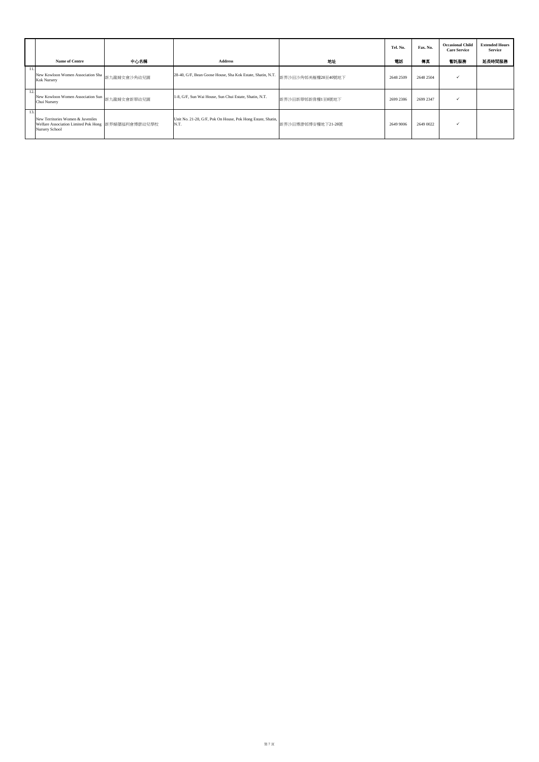|     |                                                                                                           |             |                                                                     |                    | Tel. No.  | Fax. No.  | <b>Occasional Child</b><br><b>Care Service</b> | <b>Extended Hours</b><br><b>Service</b> |
|-----|-----------------------------------------------------------------------------------------------------------|-------------|---------------------------------------------------------------------|--------------------|-----------|-----------|------------------------------------------------|-----------------------------------------|
|     | <b>Name of Centre</b>                                                                                     | 中心名稱        | <b>Address</b>                                                      | 地址                 | 電話        | 傳真        | 暫託服務                                           | 延長時間服務                                  |
| 11. | New Kowloon Women Association Sha<br>Kok Nursery                                                          | 新九龍婦女會沙角幼兒園 | 28-40, G/F, Bean Goose House, Sha Kok Estate, Shatin, N.T.          | 新界沙田沙角邨美雁樓28至40號地下 | 2648 2509 | 2648 2504 | $\checkmark$                                   |                                         |
| 12. | New Kowloon Women Association Sun<br>Chui Nursery                                                         | 新九龍婦女會新翠幼兒園 | 1-8, G/F, Sun Wai House, Sun Chui Estate, Shatin, N.T.              | 新界沙田新翠邨新偉樓1至8號地下   | 2699 2386 | 2699 2347 |                                                |                                         |
| 13. | New Territories Women & Juveniles<br>Welfare Association Limited Pok Hong 新界婦孺福利會博康幼兒學校<br>Nursery School |             | Unit No. 21-28, G/F, Pok On House, Pok Hong Estate, Shatin,<br>N.T. | 新界沙田博康邨博安樓地下21-28號 | 2649 9006 | 2649 0022 |                                                |                                         |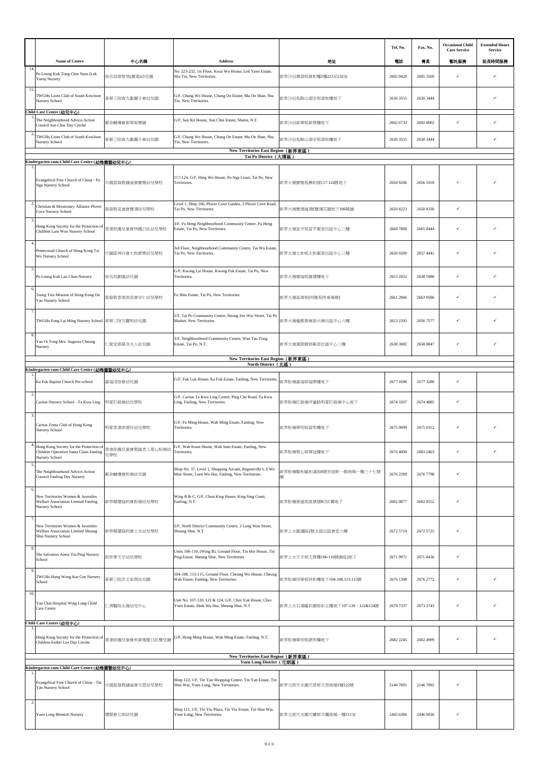|                |                                                                                                       |                         |                                                                                                                  |                                 | Tel. No.  | Fax. No.  | <b>Occasional Child</b><br><b>Care Service</b> | <b>Extended Hours</b><br><b>Service</b> |
|----------------|-------------------------------------------------------------------------------------------------------|-------------------------|------------------------------------------------------------------------------------------------------------------|---------------------------------|-----------|-----------|------------------------------------------------|-----------------------------------------|
|                | Name of Centre                                                                                        | 中心名稱                    | <b>Address</b>                                                                                                   | 地址                              | 電話        | 傳真        | 暫託服務                                           | 延長時間服務                                  |
| 14.            | Po Leung Kuk Tong Chor Nam (Lek<br>Yuen) Nursery                                                      | 保良局唐楚男(瀝源)幼兒園           | No. 223-232, 1st Floor, Kwai Wo House, Lek Yuen Estate,<br>Sha Tin, New Territories.                             | 新界沙田瀝源邨貴和樓2樓223至232室            | 2692 0428 | 2695 3169 | ✓                                              | ✓                                       |
| 15.            | TWGHs Lions Club of South Kowloon<br>Nursery School                                                   | 東華三院南九龍獅子會幼兒園           | G/F, Chung Wo House, Chung On Estate, Ma On Shan, Sha<br>Tin, New Territories.                                   | 新界沙田馬鞍山頌安邨頌和樓地下                 | 2630 3555 | 2630 3444 |                                                | ✓                                       |
|                | Child Care Centre (幼兒中心)<br>The Neighbourhood Advice-Action<br>Council Sun Chui Day Creche            | 鄰舍輔導會新翠育嬰園              | G/F, Sun Kit House, Sun Chui Estate, Shatin, N.T.                                                                | 新界沙田新翠邨新傑樓地下                    | 2692 6733 | 2692 8002 | ✓                                              | ✓                                       |
| $\overline{2}$ | TWGHs Lions Club of South Kowloon<br>Nursery School                                                   | 東華三院南九龍獅子會幼兒園           | G/F, Chung Wo House, Chung On Estate, Ma On Shan, Sha<br>Tin, New Territories.                                   | 新界沙田馬鞍山頌安邨頌和樓地下                 | 2630 3555 | 2630 3444 |                                                | ✓                                       |
|                |                                                                                                       |                         | New Territories East Region (新界東區)<br>Tai Po District (大埔區)                                                      |                                 |           |           |                                                |                                         |
| -1.            | Kindergarten-cum-Child Care Centre (幼稚園暨幼兒中心)                                                         |                         |                                                                                                                  |                                 |           |           |                                                |                                         |
|                | Evangelical Free Church of China - Po<br>Nga Nursery School                                           | 中國基督教播道會寶雅幼兒學校          | 117-124, G/F, Hing Wo House, Po Nga Court, Tai Po, New<br>Territories.                                           | 新界大埔寶雅苑興和閣117-124號地下            | 2650 9286 | 2656 1018 |                                                |                                         |
| $\overline{2}$ | Christian & Missionary Alliance Plover<br>Cove Nursery School                                         | 基督教宣道會寶湖幼兒學校            | Level 1, Shop 106, Plover Cove Garden, 3 Plover Cove Road,<br>Tai Po, New Territories.                           | 新界大埔寶湖道3號寶湖花園地下106號舖            | 2650 8223 | 2650 8330 | ✓                                              |                                         |
| $\overline{3}$ | Hong Kong Society for the Protection of<br>Children Lam Woo Nursery School                            | 香港保護兒童會林護日託幼兒學校         | 3/F, Fu Heng Neighbourhood Community Centre, Fu Heng<br>Estate, Tai Po, New Territories.                         | 新界大埔富亨邨富亨鄰里社區中心三樓               | 2660 7808 | 2665 0444 | ✓                                              |                                         |
| 4.             | Pentecostal Church of Hong Kong Tai<br>Wo Nursery School                                              | 竹園區神召會太和康樂幼兒學校          | 3rd Floor, Neighbourhood Community Centre, Tai Wo Estate,<br>Tai Po, New Territories.                            | 新界大埔太和邨太和鄰里社區中心三樓               | 2650 0200 | 2657 4441 | ✓                                              |                                         |
| 5.             | Po Leung Kuk Lau Chun Nursery                                                                         | 保良局劉進幼兒園                | G/F, Kwong Lai House, Kwong Fuk Estate, Tai Po, New<br>Territories.                                              | 新界大埔廣福邨廣禮樓地下                    | 2653 2932 | 2638 5988 | ✓                                              | ✓                                       |
| 6              | Tsung Tsin Mission of Hong Kong On<br>Yan Nursery School                                              | 基督教香港崇真會安仁幼兒學校          | Fu Shin Estate, Tai Po, New Territories.                                                                         | 新界大埔富善邨(明雅苑停車場側)                | 2661 2866 | 2663 9586 | ✓                                              |                                         |
|                | TWGHs Fong Lai Ming Nursery School 東華三院方麗明幼兒園                                                         |                         | 5/F, Tai Po Community Centre, Heung Sze Wui Street, Tai Po<br>Market, New Territories.                           | 新界大埔墟鄉事會街大埔社區中心六樓               | 2653 2393 | 2656 7577 | ✓                                              |                                         |
|                | Yan Oi Tong Mrs. Augusta Cheung<br>Nursery                                                            | 三愛堂張慕良夫人幼兒園             | 3/F, Neighbourhood Community Centre, Wan Tau Tong<br>Estate, Tai Po, N.T.                                        | 新界大埔運頭塘邨鄰里社區中心三樓                | 2638 3082 | 2658 8047 | ✓                                              |                                         |
|                |                                                                                                       |                         | New Territories East Region (新界東區)<br>North District (北區)                                                        |                                 |           |           |                                                |                                         |
|                | Kindergarten-cum-Child Care Centre (幼稚園暨幼兒中心)<br>Ka Fuk Baptist Church Pre-school                     | 嘉福浸信會幼兒園                | G/F, Fuk Lok House, Ka Fuk Estate, Fanling, New Territories.                                                     | 新界粉嶺嘉福邨福樂樓地下                    | 2677 1696 | 2677 3280 | ✓                                              |                                         |
| $\overline{2}$ | Caritas Nursery School - Ta Kwu Ling                                                                  | 明愛打鼓嶺幼兒學校               | G/F, Caritas Ta Kwu Ling Centre, Ping Che Road, Ta Kwu<br>Ling, Fanling, New Territories.                        | 新界粉嶺打鼓嶺坪輋路明愛打鼓嶺中心地下             | 2674 3207 | 2674 4885 | ✓                                              |                                         |
| 3.             |                                                                                                       |                         | G/F, Fu Ming House, Wah Ming Estate, Fanling, New                                                                |                                 |           |           |                                                |                                         |
|                | Caritas Zonta Club of Hong Kong<br>Nursery School                                                     | 明愛香港崇德社幼兒學校             | Territories.                                                                                                     | 新界粉嶺華明邨富明樓地下                    | 2675 0099 | 2675 0312 | ✓                                              |                                         |
| 5.             | Hong Kong Society for the Protection of<br>Children Operation Santa Claus Fanling<br>Nursery School   | 香港保護兒童會聖誕老人愛心粉嶺幼<br>兒學校 | G/F, Wah Koon House, Wah Sum Estate, Fanling, New<br>Territories.                                                | 新界粉嶺華心邨華冠樓地下                    | 2676 4000 | 2683 2463 | ✓                                              |                                         |
|                | The Neighbourhood Advice-Action<br>Council Fanling Day Nursery                                        | 鄰舍輔導會粉嶺幼兒園              | Shop No. 37, Level 1, Shopping Arcade, Regentville I, 8 Wo<br>Mun Street, Luen Wo Hui, Fanling, New Territories. | 新界粉嶺聯和墟和滿街8號帝庭軒一期商場一樓三十七號       | 2676 2298 | 2676 7798 | ✓                                              |                                         |
| 6.             | New Territories Women & Juveniles<br><b>Welfare Association Limited Fanling</b><br>Nursery School     | 新界婦孺福利會粉嶺幼兒學校           | Wing B & C, G/F, Chun King House, King Sing Court,<br>Fanling, N.T.                                              | 新界粉嶺景盛苑俊景閣B及C翼地下                | 2682 0877 | 2682 0552 | ✓                                              |                                         |
|                | New Territories Women & Juveniles<br>Welfare Association Limited Sheung<br>Shui Nursery School        | 新界婦孺福利會上水幼兒學校           | 5/F, North District Community Centre, 2 Lung Wan Street,<br>Sheung Shui, N.T.                                    | 新界上水龍運路2號北區社區會堂六樓               | 2672 5710 | 2672 5725 | ✓                                              |                                         |
| 8.             | The Salvation Army Tin Ping Nursery<br>School                                                         | 救世軍天平幼兒學校               | Units 106-110, (Wing B), Ground Floor, Tin Hor House, Tin<br>Ping Estate, Sheung Shui, New Territories.          | 新界上水天平邨天賀樓106-110號(B座)地下        | 2671 9972 | 2671 8436 | ✓                                              |                                         |
| 9              | TWGHs Hung Wong Kar Gee Nursery<br>School                                                             | 東華三院洪王家琪幼兒園             | 104-108, 113-115, Ground Floor, Cheung Wo House, Cheung<br>Wah Estate, Fanling, New Territories.                 | 新界粉嶺祥華邨祥和樓地下104-108,113-115號    | 2676 1308 | 2676 2772 | ✓                                              | ✓                                       |
| 10.            | Yan Chai Hospital Wing Lung Child<br>Care Centre                                                      | 二濟醫院永隆幼兒中心              | Unit No. 107-120, 122 & 124, G/F, Choi Yuk House, Choi<br>Yuen Estate, Shek Wu Hui, Sheung Shui, N.T.            | 新界上水石湖墟彩園邨彩玉樓地下107-120、122&124號 | 2679 7337 | 2673 3743 | ✓                                              |                                         |
|                | Child Care Centre (幼兒中心)<br>Hong Kong Society for the Protection of<br>Children Esther Lee Day Creche | 香港保護兒童會利黃瑤璧日託嬰兒園        | G/F, Hong Ming House, Wah Ming Estate, Fanling, N.T.                                                             | 新界粉嶺華明邨康明樓地下                    | 2682 2245 | 2682 4999 | ✓                                              |                                         |
|                |                                                                                                       |                         | New Territories East Region (新界東區)<br>Yuen Long District (元朗區)                                                   |                                 |           |           |                                                |                                         |
|                | Kindergarten-cum-Child Care Centre (幼稚園暨幼兒中心)                                                         |                         | Shop 122, 1/F, Tin Yan Shopping Centre, Tin Yan Estate, Tin                                                      |                                 |           |           |                                                |                                         |
| $\overline{2}$ | Evangelical Free Church of China - Tin<br>Yan Nursery School                                          | 中國基督教播道會天恩幼兒學校          | Shui Wai, Yuen Long, New Territories.                                                                            | 新界元朗天水圍天恩邨天恩商場1樓122號            | 2146 7891 | 2146 7892 | ✓                                              |                                         |
|                | Yuen Long Rhenish Nursery                                                                             | 禮賢會元朗幼兒園                | Shop 111, 1/F, Tin Yiu Plaza, Tin Yiu Estate, Tin Shui Wai,<br>Yuen Long, New Territories.                       | 新界元朗天水圍天耀邨天耀商場一樓111室            | 2445 6306 | 2446 9026 | ✓                                              |                                         |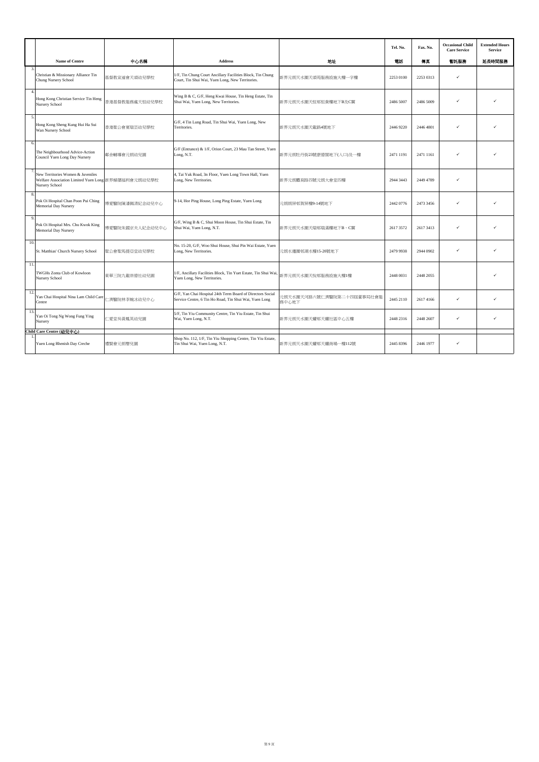|                           |                                                                                                            |                 |                                                                                                                      |                                    | Tel. No.  | Fax. No.  | <b>Occasional Child</b><br><b>Care Service</b> | <b>Extended Hours</b><br><b>Service</b> |
|---------------------------|------------------------------------------------------------------------------------------------------------|-----------------|----------------------------------------------------------------------------------------------------------------------|------------------------------------|-----------|-----------|------------------------------------------------|-----------------------------------------|
|                           | <b>Name of Centre</b>                                                                                      | 中心名稱            | <b>Address</b>                                                                                                       | 地址                                 | 電話        | 傳真        | 暫託服務                                           | 延長時間服務                                  |
| $\overline{\mathbf{3}}$   | Christian & Missionary Alliance Tin<br>Chung Nursery School                                                | 基督教宣道會天頌幼兒學校    | 1/F, Tin Chung Court Ancillary Facilities Block, Tin Chung<br>Court, Tin Shui Wai, Yuen Long, New Territories.       | 新界元朗天水圍天頌苑服務設施大樓一字樓                | 2253 0100 | 2253 0313 | $\checkmark$                                   |                                         |
| $\boldsymbol{\varLambda}$ | Hong Kong Christian Service Tin Heng<br><b>Nursery School</b>                                              | 香港基督教服務處天恒幼兒學校  | Wing B & C, G/F, Heng Kwai House, Tin Heng Estate, Tin<br>Shui Wai, Yuen Long, New Territories.                      | 新界元朗天水圍天恒邨恒貴樓地下B及C翼                | 2486 5007 | 2486 5009 | ✓                                              |                                         |
| 5.                        | Hong Kong Sheng Kung Hui Ha Sui<br>Wan Nursery School                                                      | 香港聖公會夏瑞芸幼兒學校    | G/F, 4 Tin Lung Road, Tin Shui Wai, Yuen Long, New<br>Territories.                                                   | 新界元朗天水圍天龍路4號地下                     | 2446 9220 | 2446 4801 | $\checkmark$                                   |                                         |
| 6.                        | The Neighbourhood Advice-Action<br>Council Yuen Long Day Nursery                                           | 鄰舍輔導會元朗幼兒園      | G/F (Entrance) & 1/F, Orion Court, 23 Mau Tan Street, Yuen<br>Long, N.T.                                             | 新界元朗牡丹街23號康德閣地下(入口)及一樓             | 2471 1191 | 2471 1161 | $\checkmark$                                   |                                         |
|                           | New Territories Women & Juveniles<br>Welfare Association Limited Yuen Long 新界婦孺福利會元朗幼兒學校<br>Nursery School |                 | 4, Tai Yuk Road, 3n Floor, Yuen Long Town Hall, Yuen<br>Long, New Territories.                                       | 新界元朗體育路四號元朗大會堂四樓                   | 2944 3443 | 2449 4789 | $\checkmark$                                   |                                         |
| $\mathbf{\hat{x}}$        | Pok Oi Hospital Chan Poon Pui Ching<br>Memorial Day Nursery                                                | 博愛醫院陳潘佩清紀念幼兒中心  | 9-14, Hor Ping House, Long Ping Estate, Yuen Long                                                                    | 元朗朗屏邨賀屏樓9-14號地下                    | 2442 0776 | 2473 3456 |                                                |                                         |
| 9                         | Pok Oi Hospital Mrs. Chu Kwok King<br><b>Memorial Day Nursery</b>                                          | 博愛醫院朱國京夫人紀念幼兒中心 | G/F, Wing B & C, Shui Moon House, Tin Shui Estate, Tin<br>Shui Wai, Yuen Long, N.T.                                  | 新界元朗天水圍天瑞邨瑞滿樓地下B、C翼                | 2617 3572 | 2617 3413 |                                                |                                         |
| 10.                       | St. Matthias' Church Nursery School                                                                        | 聖公會聖馬提亞堂幼兒學校    | No. 15-20, G/F, Woo Shui House, Shui Pin Wai Estate, Yuen<br>Long, New Territories.                                  | 元朗水邊圍邨湖水樓15-20號地下                  | 2479 9938 | 2944 0902 | $\checkmark$                                   |                                         |
| 11.                       | <b>TWGHs Zonta Club of Kowloon</b><br>Nursery School                                                       | 東華三院九龍崇德社幼兒園    | 1/F, Ancillary Facilities Block, Tin Yuet Estate, Tin Shui Wai<br>Yuen Long, New Territories.                        | 新界元朗天水圍天悅邨服務設施大樓1樓                 | 2448 0031 | 2448 2055 |                                                |                                         |
| 12.                       | Yan Chai Hospital Nina Lam Child Care<br>Centre                                                            | 二濟醫院林李婉冰幼兒中心    | G/F, Yan Chai Hospital 24th Term Board of Directors Social<br>Service Centre, 6 Tin Ho Road, Tin Shui Wai, Yuen Long | 元朗天水圍天河路六號仁濟醫院第二十四屆董事局社會服<br>務中心地下 | 2445 2110 | 2617 4166 | $\checkmark$                                   |                                         |
| 13.                       | Yan Oi Tong Ng Wong Fung Ying<br>Nursery                                                                   | 二愛堂吳黃鳳英幼兒園      | 5/F, Tin Yiu Community Centre, Tin Yiu Estate, Tin Shui<br>Wai, Yuen Long, N.T.                                      | 新界元朗天水圍天耀邨天耀社區中心五樓                 | 2448 2316 | 2448 2607 | $\checkmark$                                   | ✓                                       |
|                           | Child Care Centre (幼兒中心)                                                                                   |                 |                                                                                                                      |                                    |           |           |                                                |                                         |
|                           | Yuen Long Rhenish Day Creche                                                                               | 禮賢會元朗嬰兒園        | Shop No. 112, 1/F, Tin Yiu Shopping Centre, Tin Yiu Estate,<br>Tin Shui Wai, Yuen Long, N.T.                         | 新界元朗天水圍天耀邨天耀商場一樓112號               | 2445 8396 | 2446 1977 | $\checkmark$                                   |                                         |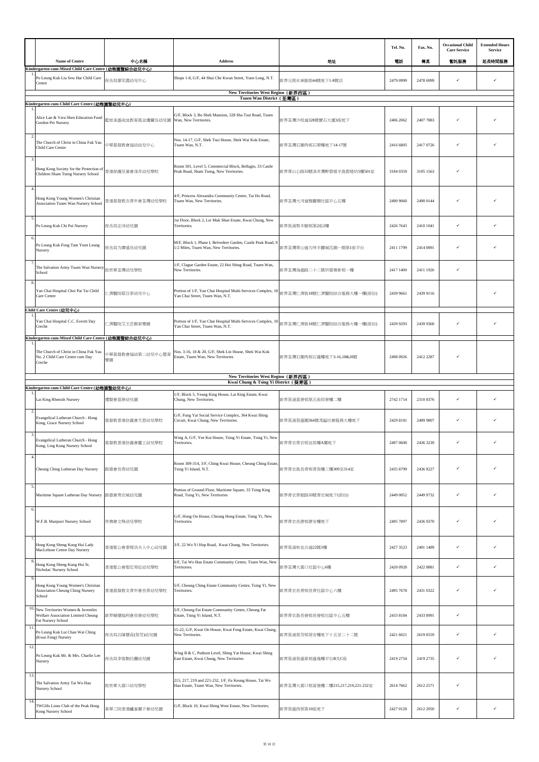|                |                                                                                               |                        |                                                                                                        |                                   | Tel. No.  | Fax. No.  | <b>Occasional Child</b><br><b>Care Service</b> | <b>Extended Hours</b><br>Service |
|----------------|-----------------------------------------------------------------------------------------------|------------------------|--------------------------------------------------------------------------------------------------------|-----------------------------------|-----------|-----------|------------------------------------------------|----------------------------------|
|                | Name of Centre<br>Kindergarten-cum-Mixed Child Care Centre (幼稚園暨綜合幼兒中心)                       | 中心名稱                   | <b>Address</b>                                                                                         | 地址                                | 電話        | 傳真        | 暫託服務                                           | 延長時間服務                           |
|                | Po Leung Kuk Liu Sew Har Child Care<br>Centre                                                 | 呆良局廖笑霞幼兒中心             | Shops 1-8, G/F, 44 Shui Che Kwun Street, Yuen Long, N.T.                                               | 新界元朗水車館街44號地下1-8號店                | 2479 0999 | 2478 6999 | $\checkmark$                                   | ✓                                |
|                | Kindergarten-cum-Child Care Centre (幼稚園暨幼兒中心)                                                 |                        | New Territories West Region (新界西區)<br>Tsuen Wan District (荃灣區)                                         |                                   |           |           |                                                |                                  |
|                | Alice Lan & Vera Shen Education Fund<br>Gordon Pei Nursery                                    | 藍如溪盛成皿教育基金邊耀良幼兒園       | G/F, Block 3, Bo Shek Mansion, 328 Sha Tsui Road, Tsuen<br>Wan, New Territories.                       | 新界荃灣沙咀道328號寶石大厦3座地下               | 2406 2062 | 2407 7883 |                                                |                                  |
| $\overline{2}$ | The Church of Christ in China Fuk Yau<br>Child Care Centre                                    | 中華基督教會福幼幼兒中心           | Nos. 14-17, G/F, Shek Tsui House, Shek Wai Kok Estate,<br>Tsuen Wan, N.T.                              | 新界荃灣石圍角邨石翠樓地下14-17號               | 2416 6805 | 2417 0726 | $\checkmark$                                   |                                  |
| $\mathcal{R}$  | Hong Kong Society for the Protection of<br>Children Sham Tseng Nursery School                 | 香港保護兒童會深井幼兒學校          | Room 501, Level 5, Commercial Block, Bellagio, 33 Castle<br>Peak Road, Sham Tseng, New Territories.    | 新界青山公路33號深井灣畔碧堤半島碧堤坊5樓501室        | 3184 0359 | 3105 1563 |                                                |                                  |
| $\overline{4}$ | Hong Kong Young Women's Christian<br>Association Tsuen Wan Nursery School                     | 香港基督教女青年會荃灣幼兒學校        | 4/F, Princess Alexandra Community Centre, Tai Ho Road,<br>Tsuen Wan, New Territories.                  | 新界荃灣大河道雅麗珊社區中心五樓                  | 2490 9060 | 2490 0144 | $\checkmark$                                   |                                  |
| -5.            | Po Leung Kuk Chi Pui Nursery                                                                  | 保良局志沛幼兒園               | 1st Floor, Block 2, Lei Muk Shue Estate, Kwai Chung, New<br>Territories.                               | 新界葵涌梨木樹邨第2座2樓                     | 2426 7643 | 2410 1041 | $\checkmark$                                   | ✓                                |
|                | Po Leung Kuk Fong Tam Yuen Leung<br>Nursery                                                   | 保良局方譚遠良幼兒園             | M/F, Block 1, Phase I, Belvedere Garden, Castle Peak Road, 9<br>1/2 Miles, Tsuen Wan, New Territories. | 新界荃灣青山道九咪半麗城花園一期第1座平台             | 2411 1799 | 2414 0891 |                                                |                                  |
|                | The Salvation Army Tsuen Wan Nursery<br>School                                                | 救世軍荃灣幼兒學校              | 1/F, Clague Garden Estate, 22 Hoi Shing Road, Tsuen Wan,<br>New Territories.                           | 新界荃灣海盛路二十二號祈德尊新邨一樓                | 2417 1400 | 2411 1926 | $\checkmark$                                   |                                  |
|                | Yan Chai Hospital Choi Pat Tai Child<br>Care Centre                                           | 二濟醫院蔡百泰幼兒中心            | Portion of 1/F, Yan Chai Hospital Multi-Services Complex, 18<br>Yan Chai Street, Tsuen Wan, N.T.       | 新界荃灣仁濟街18號仁濟醫院綜合服務大樓一樓(部份)        | 2439 9661 | 2439 9116 |                                                |                                  |
|                | Child Care Centre (幼兒中心)<br>Yan Chai Hospital C.C. Everitt Day<br>Creche                      | :濟醫院艾王忠椒育嬰園            | Portion of 1/F, Yan Chai Hospital Multi-Services Complex, 18<br>Yan Chai Street, Tsuen Wan, N.T.       | 新界荃灣仁濟街18號仁濟醫院綜合服務大樓一樓(部份)        | 2439 9293 | 2439 9360 | $\checkmark$                                   |                                  |
|                | Kindergarten-cum-Mixed Child Care Centre (幼稚園暨綜合幼兒中心)                                         |                        |                                                                                                        |                                   |           |           |                                                |                                  |
|                | The Church of Christ in China Fuk Yau<br>No. 2 Child Care Centre cum Day<br>Creche            | 中華基督教會福幼第二幼兒中心暨育<br>嬰園 | Nos. 3-16, 18 & 20, G/F, Shek Lin House, Shek Wai Kok<br>Estate, Tsuen Wan, New Territories            | 新界荃灣石圍角邨石蓮樓地下3-16,18&20號          | 2498 0926 | 2412 2287 |                                                |                                  |
|                | Kindergarten-cum-Child Care Centre (幼稚園暨幼兒中心)                                                 |                        | New Territories West Region (新界西區)<br>Kwai Chung & Tsing Yi District (葵青區)                             |                                   |           |           |                                                |                                  |
|                | Lai King Rhenish Nursery                                                                      | 禮賢會荔景幼兒園               | 1/F, Block 5, Yeung King House, Lai King Estate, Kwai<br>Chung, New Territories.                       | 新界葵涌荔景邨第五座仰景樓二樓                   | 2742 1714 | 2310 8376 | ✓                                              |                                  |
|                | Evangelical Lutheran Church - Hong<br>Kong, Grace Nursery School                              | 基督教香港信義會天恩幼兒學校         | G/F, Fung Yat Social Service Complex, 364 Kwai Shing<br>Circuit, Kwai Chung, New Territories.          | 新界葵涌葵盛圍364號馮鎰社會服務大樓地下             | 2429 8181 | 2409 9807 | $\checkmark$                                   |                                  |
|                | Evangelical Lutheran Church - Hong<br>Kong, Ling Kung Nursery School                          | 基督教杳港信義曾靈工幼兒學校         | Wing A, G/F, Yee Kui House, Tsing Yi Estate, Tsing Yi, New<br>l'erritories.                            | 新界青衣青衣邨冝居樓A翼地↑                    | 2497 0600 | 2436 3239 |                                                |                                  |
| $\overline{4}$ | Cheung Ching Lutheran Day Nursery                                                             | 路德會長青幼兒園               | Room 309-314, 3/F, Ching Kwai House, Cheung Ching Estate,<br>Tsing Yi Island, N.T.                     | 新界青衣島長青邨青葵樓三樓309至314室             | 2435 8799 | 2436 9227 | $\checkmark$                                   |                                  |
| 5.             | Maritime Square Lutheran Day Nursery                                                          | 路德會青衣城幼兒園              | Portion of Ground Floor, Maritime Square, 33 Tsing King<br>Road, Tsing Yi, New Territories             | 新界青衣青敬路33號青衣城地下(部份)               | 2449 0052 | 2449 9732 | $\checkmark$                                   |                                  |
| 6.             | W.F.B. Manjusri Nursery School                                                                | 世佛會文殊幼兒學校              | G/F, Hong On House, Cheung Hong Estate, Tsing Yi, New<br>Territories.                                  | 新界青衣長康邨康安樓地下                      | 2495 7897 | 2436 9370 | $\checkmark$                                   |                                  |
|                | Hong Kong Sheng Kung Hui Lady<br>MacLehose Centre Day Nursery                                 | 香港聖公會麥理浩夫人中心幼兒園        | 3/F, 22 Wo Yi Hop Road, Kwai Chung, New Territories.                                                   | 新界葵涌和宜合道22號3樓                     | 2427 3523 | 2401 1489 | $\checkmark$                                   | ✓                                |
|                | Hong Kong Sheng Kung Hui St.<br>Nicholas' Nursery School                                      | 香港聖公會聖尼哥拉幼兒學校          | 6/F, Tai Wo Hau Estate Community Centre, Tsuen Wan, New<br>Territories.                                | 新界荃灣大窩口社區中心6樓                     | 2420 0928 | 2422 8881 | $\checkmark$                                   | ✓                                |
|                | Hong Kong Young Women's Christian<br><b>Association Cheung Ching Nursery</b><br>School        | 香港基督教女青年會長青幼兒學校        | 5/F, Cheung Ching Estate Community Centre, Tsing Yi, New<br>Territories.                               | 新界青衣長青邨長青社區中心六樓                   | 2495 7678 | 2431 0322 | $\checkmark$                                   |                                  |
| 10.<br>11      | New Territories Women & Juveniles<br>Welfare Association Limited Cheung<br>Fat Nursery School | 新界婦孺福利會長發幼兒學校          | 5/F, Cheung Fat Estate Community Centre, Cheung Fat<br>Estate, Tsing Yi Island, N.T.                   | 新界青衣島長發邨長發邨社區中心五樓                 | 2433 8184 | 2433 8991 | $\checkmark$                                   |                                  |
|                | Po Leung Kuk Lui Chan Wai Ching<br>(Kwai Fong) Nursery                                        | 保良局呂陳慧貞(葵芳)幼兒園         | 15-22, G/F, Kwai On House, Kwai Fong Estate, Kwai Chung,<br>New Territories.                           | 新界葵涌葵芳邨葵安樓地下十五至二十 <mark>二號</mark> | 2421 6021 | 2619 0559 | $\checkmark$                                   |                                  |
| 12.            | Po Leung Kuk Mr. & Mrs. Charlie Lee<br>Nursery                                                | 呆良局李俊駒伉儷幼兒園            | Wing B & C, Podium Level, Shing Yat House, Kwai Shing<br>East Estate, Kwai Chung, New Territories      | 新界葵涌葵盛東邨盛逸樓平台B及C座                 | 2419 2734 | 2419 2735 | $\checkmark$                                   |                                  |
| 13.            | The Salvation Army Tai Wo Hau<br>Nursery School                                               | 救世軍大窩口幼兒學校             | 215, 217, 219 and 221-232, 1/F, Fu Keung House, Tai Wo<br>Hau Estate, Tsuen Wan, New Territories.      | 新界荃灣大窩口邨富強樓二樓215,217,219,221-232室 | 2614 7662 | 2612 2571 | $\checkmark$                                   |                                  |
| 14             | TWGHs Lions Club of the Peak Hong                                                             | 東華三院香港鑪峯獅子會幼兒園         | G/F, Block 10, Kwai Shing West Estate, New Territories.                                                | 新界葵盛西邨第10座地下                      | 2427 0128 | 2612 2050 | ✓                                              | $\checkmark$                     |